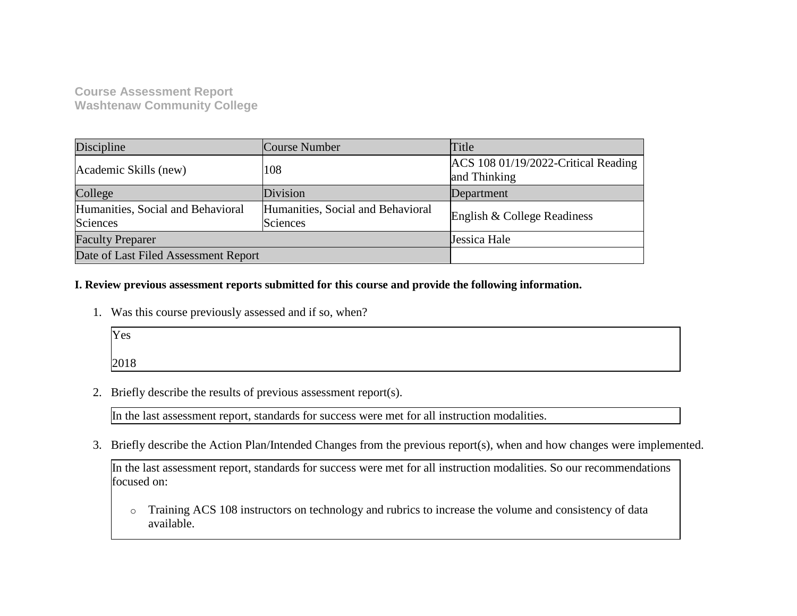## **Course Assessment Report Washtenaw Community College**

| Discipline                                    | Course Number                                        | Title                                               |
|-----------------------------------------------|------------------------------------------------------|-----------------------------------------------------|
| Academic Skills (new)                         | 108                                                  | ACS 108 01/19/2022-Critical Reading<br>and Thinking |
| College                                       | Division                                             | Department                                          |
| Humanities, Social and Behavioral<br>Sciences | Humanities, Social and Behavioral<br><b>Sciences</b> | English & College Readiness                         |
| <b>Faculty Preparer</b>                       |                                                      | Jessica Hale                                        |
| Date of Last Filed Assessment Report          |                                                      |                                                     |

### **I. Review previous assessment reports submitted for this course and provide the following information.**

1. Was this course previously assessed and if so, when?

| Yes  |  |  |
|------|--|--|
| 2018 |  |  |

2. Briefly describe the results of previous assessment report(s).

In the last assessment report, standards for success were met for all instruction modalities.

3. Briefly describe the Action Plan/Intended Changes from the previous report(s), when and how changes were implemented.

In the last assessment report, standards for success were met for all instruction modalities. So our recommendations focused on:

o Training ACS 108 instructors on technology and rubrics to increase the volume and consistency of data available.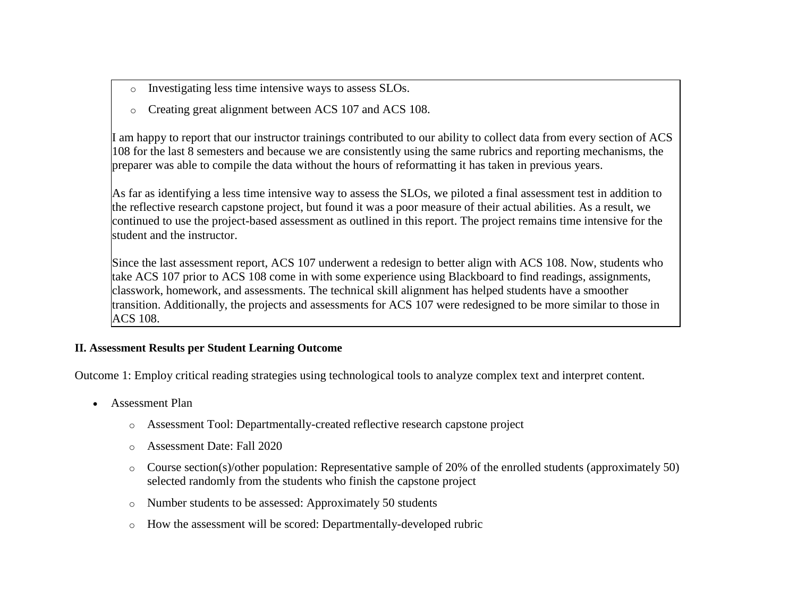- o Investigating less time intensive ways to assess SLOs.
- o Creating great alignment between ACS 107 and ACS 108.

I am happy to report that our instructor trainings contributed to our ability to collect data from every section of ACS 108 for the last 8 semesters and because we are consistently using the same rubrics and reporting mechanisms, the preparer was able to compile the data without the hours of reformatting it has taken in previous years.

As far as identifying a less time intensive way to assess the SLOs, we piloted a final assessment test in addition to the reflective research capstone project, but found it was a poor measure of their actual abilities. As a result, we continued to use the project-based assessment as outlined in this report. The project remains time intensive for the student and the instructor.

Since the last assessment report, ACS 107 underwent a redesign to better align with ACS 108. Now, students who take ACS 107 prior to ACS 108 come in with some experience using Blackboard to find readings, assignments, classwork, homework, and assessments. The technical skill alignment has helped students have a smoother transition. Additionally, the projects and assessments for ACS 107 were redesigned to be more similar to those in ACS 108.

### **II. Assessment Results per Student Learning Outcome**

Outcome 1: Employ critical reading strategies using technological tools to analyze complex text and interpret content.

- Assessment Plan
	- o Assessment Tool: Departmentally-created reflective research capstone project
	- o Assessment Date: Fall 2020
	- o Course section(s)/other population: Representative sample of 20% of the enrolled students (approximately 50) selected randomly from the students who finish the capstone project
	- o Number students to be assessed: Approximately 50 students
	- o How the assessment will be scored: Departmentally-developed rubric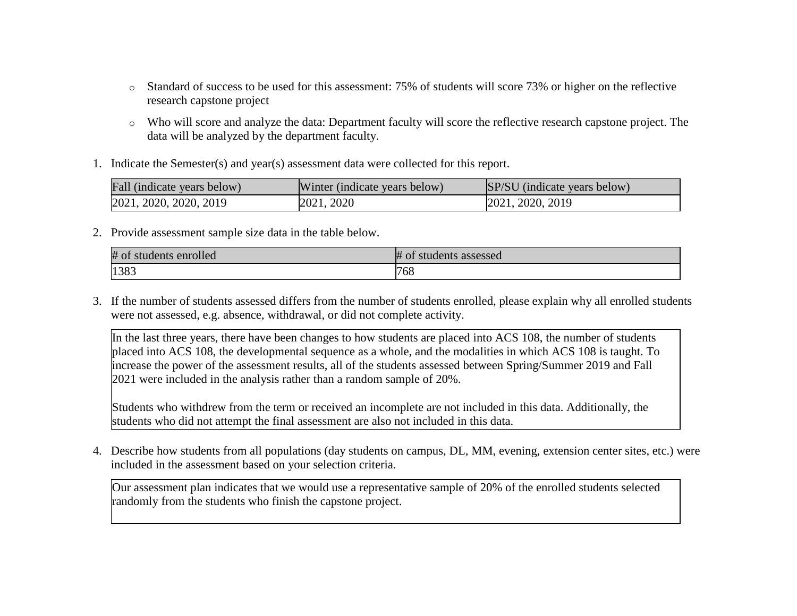- o Standard of success to be used for this assessment: 75% of students will score 73% or higher on the reflective research capstone project
- o Who will score and analyze the data: Department faculty will score the reflective research capstone project. The data will be analyzed by the department faculty.
- 1. Indicate the Semester(s) and year(s) assessment data were collected for this report.

| Fall (indicate years below) | Winter (indicate years below) | SP/SU (indicate years below) |
|-----------------------------|-------------------------------|------------------------------|
| 2021, 2020, 2020, 2019      | 2021, 2020                    | 2021, 2020, 2019             |

2. Provide assessment sample size data in the table below.

| #01<br>students enrolled | ₩.<br>students assessed<br>v<br>m |
|--------------------------|-----------------------------------|
| 1383                     | 768                               |

3. If the number of students assessed differs from the number of students enrolled, please explain why all enrolled students were not assessed, e.g. absence, withdrawal, or did not complete activity.

In the last three years, there have been changes to how students are placed into ACS 108, the number of students placed into ACS 108, the developmental sequence as a whole, and the modalities in which ACS 108 is taught. To increase the power of the assessment results, all of the students assessed between Spring/Summer 2019 and Fall 2021 were included in the analysis rather than a random sample of 20%.

Students who withdrew from the term or received an incomplete are not included in this data. Additionally, the students who did not attempt the final assessment are also not included in this data.

4. Describe how students from all populations (day students on campus, DL, MM, evening, extension center sites, etc.) were included in the assessment based on your selection criteria.

Our assessment plan indicates that we would use a representative sample of 20% of the enrolled students selected randomly from the students who finish the capstone project.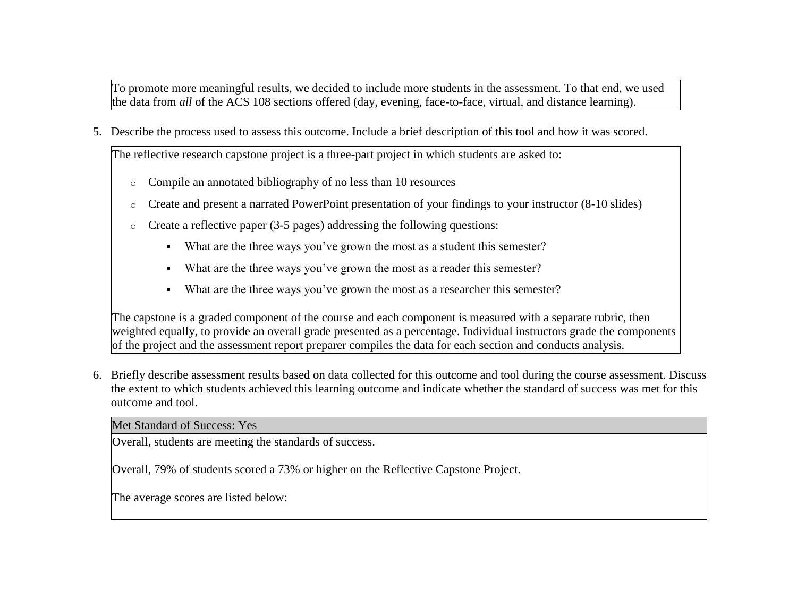To promote more meaningful results, we decided to include more students in the assessment. To that end, we used the data from *all* of the ACS 108 sections offered (day, evening, face-to-face, virtual, and distance learning).

5. Describe the process used to assess this outcome. Include a brief description of this tool and how it was scored.

The reflective research capstone project is a three-part project in which students are asked to:

- o Compile an annotated bibliography of no less than 10 resources
- $\circ$  Create and present a narrated PowerPoint presentation of your findings to your instructor (8-10 slides)
- o Create a reflective paper (3-5 pages) addressing the following questions:
	- What are the three ways you've grown the most as a student this semester?
	- What are the three ways you've grown the most as a reader this semester?
	- What are the three ways you've grown the most as a researcher this semester?

The capstone is a graded component of the course and each component is measured with a separate rubric, then weighted equally, to provide an overall grade presented as a percentage. Individual instructors grade the components of the project and the assessment report preparer compiles the data for each section and conducts analysis.

6. Briefly describe assessment results based on data collected for this outcome and tool during the course assessment. Discuss the extent to which students achieved this learning outcome and indicate whether the standard of success was met for this outcome and tool.

Met Standard of Success: Yes

Overall, students are meeting the standards of success.

Overall, 79% of students scored a 73% or higher on the Reflective Capstone Project.

The average scores are listed below: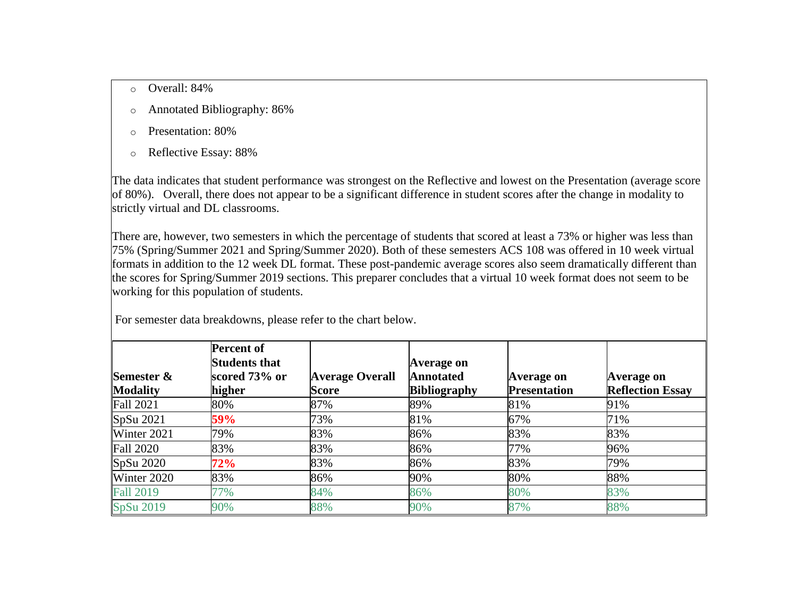- o Overall: 84%
- o Annotated Bibliography: 86%
- o Presentation: 80%
- o Reflective Essay: 88%

The data indicates that student performance was strongest on the Reflective and lowest on the Presentation (average score of 80%). Overall, there does not appear to be a significant difference in student scores after the change in modality to strictly virtual and DL classrooms.

There are, however, two semesters in which the percentage of students that scored at least a 73% or higher was less than 75% (Spring/Summer 2021 and Spring/Summer 2020). Both of these semesters ACS 108 was offered in 10 week virtual formats in addition to the 12 week DL format. These post-pandemic average scores also seem dramatically different than the scores for Spring/Summer 2019 sections. This preparer concludes that a virtual 10 week format does not seem to be working for this population of students.

| Semester &<br><b>Modality</b> | <b>Percent of</b><br><b>Students that</b><br>scored 73% or<br>higher | <b>Average Overall</b><br><b>Score</b> | Average on<br><b>Annotated</b><br><b>Bibliography</b> | Average on<br><b>Presentation</b> | Average on<br><b>Reflection Essay</b> |
|-------------------------------|----------------------------------------------------------------------|----------------------------------------|-------------------------------------------------------|-----------------------------------|---------------------------------------|
| <b>Fall 2021</b>              | 80%                                                                  | 87%                                    | 89%                                                   | 81%                               | 91%                                   |
| SpSu 2021                     | 59%                                                                  | 73%                                    | 81%                                                   | 67%                               | 71%                                   |
| Winter 2021                   | 79%                                                                  | 83%                                    | 86%                                                   | 83%                               | 83%                                   |
| <b>Fall 2020</b>              | 83%                                                                  | 83%                                    | 86%                                                   | 77%                               | 96%                                   |
| SpSu 2020                     | 72%                                                                  | 83%                                    | 86%                                                   | 83%                               | 79%                                   |
| Winter 2020                   | 83%                                                                  | 86%                                    | 90%                                                   | 80%                               | 88%                                   |
| <b>Fall 2019</b>              | 77%                                                                  | 84%                                    | 86%                                                   | 80%                               | 83%                                   |
| SpSu 2019                     | 90%                                                                  | 88%                                    | 90%                                                   | 87%                               | 88%                                   |

For semester data breakdowns, please refer to the chart below.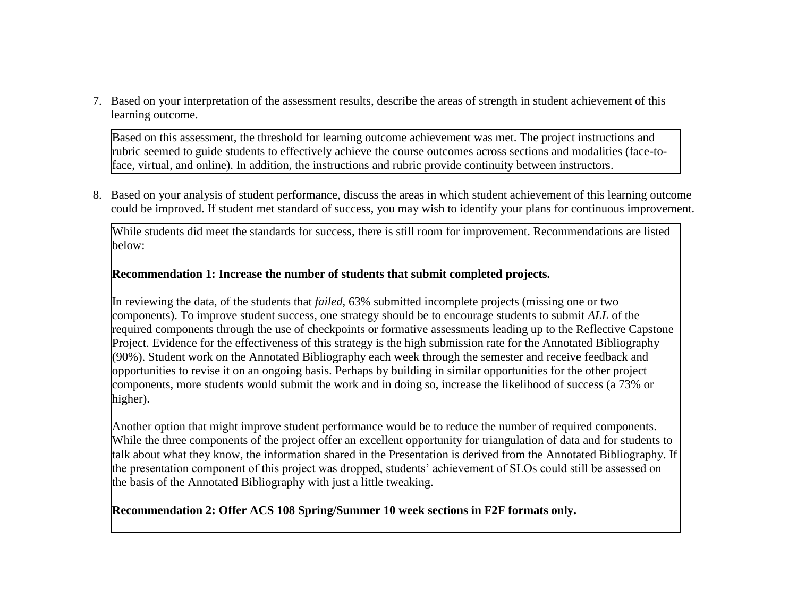7. Based on your interpretation of the assessment results, describe the areas of strength in student achievement of this learning outcome.

Based on this assessment, the threshold for learning outcome achievement was met. The project instructions and rubric seemed to guide students to effectively achieve the course outcomes across sections and modalities (face-toface, virtual, and online). In addition, the instructions and rubric provide continuity between instructors.

8. Based on your analysis of student performance, discuss the areas in which student achievement of this learning outcome could be improved. If student met standard of success, you may wish to identify your plans for continuous improvement.

While students did meet the standards for success, there is still room for improvement. Recommendations are listed below:

### **Recommendation 1: Increase the number of students that submit completed projects.**

In reviewing the data, of the students that *failed*, 63% submitted incomplete projects (missing one or two components). To improve student success, one strategy should be to encourage students to submit *ALL* of the required components through the use of checkpoints or formative assessments leading up to the Reflective Capstone Project. Evidence for the effectiveness of this strategy is the high submission rate for the Annotated Bibliography (90%). Student work on the Annotated Bibliography each week through the semester and receive feedback and opportunities to revise it on an ongoing basis. Perhaps by building in similar opportunities for the other project components, more students would submit the work and in doing so, increase the likelihood of success (a 73% or higher).

Another option that might improve student performance would be to reduce the number of required components. While the three components of the project offer an excellent opportunity for triangulation of data and for students to talk about what they know, the information shared in the Presentation is derived from the Annotated Bibliography. If the presentation component of this project was dropped, students' achievement of SLOs could still be assessed on the basis of the Annotated Bibliography with just a little tweaking.

### **Recommendation 2: Offer ACS 108 Spring/Summer 10 week sections in F2F formats only.**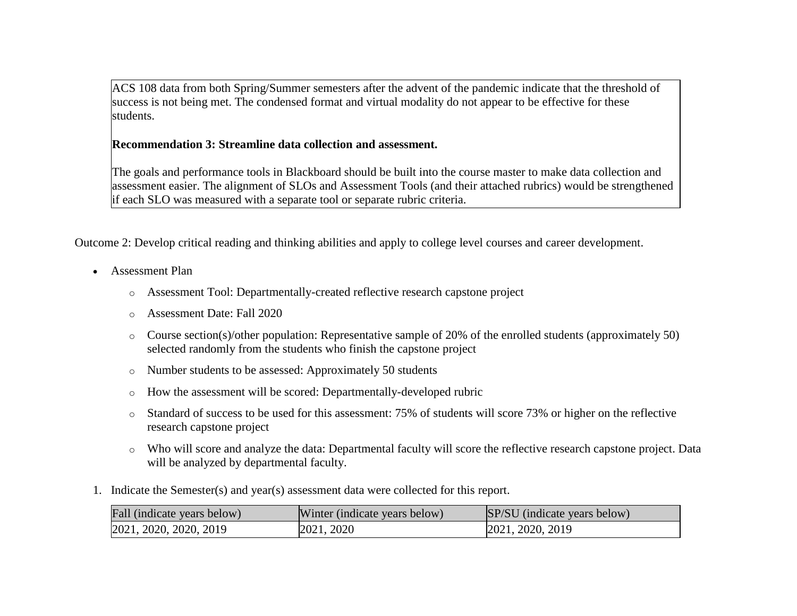ACS 108 data from both Spring/Summer semesters after the advent of the pandemic indicate that the threshold of success is not being met. The condensed format and virtual modality do not appear to be effective for these students.

## **Recommendation 3: Streamline data collection and assessment.**

The goals and performance tools in Blackboard should be built into the course master to make data collection and assessment easier. The alignment of SLOs and Assessment Tools (and their attached rubrics) would be strengthened if each SLO was measured with a separate tool or separate rubric criteria.

Outcome 2: Develop critical reading and thinking abilities and apply to college level courses and career development.

- Assessment Plan
	- o Assessment Tool: Departmentally-created reflective research capstone project
	- o Assessment Date: Fall 2020
	- o Course section(s)/other population: Representative sample of 20% of the enrolled students (approximately 50) selected randomly from the students who finish the capstone project
	- o Number students to be assessed: Approximately 50 students
	- o How the assessment will be scored: Departmentally-developed rubric
	- o Standard of success to be used for this assessment: 75% of students will score 73% or higher on the reflective research capstone project
	- o Who will score and analyze the data: Departmental faculty will score the reflective research capstone project. Data will be analyzed by departmental faculty.
- 1. Indicate the Semester(s) and year(s) assessment data were collected for this report.

| Fall (indicate years below) | Winter (indicate years below) | SP/SU (indicate years below) |
|-----------------------------|-------------------------------|------------------------------|
| 2021, 2020, 2020, 2019      | 2021, 2020                    | 2021, 2020, 2019             |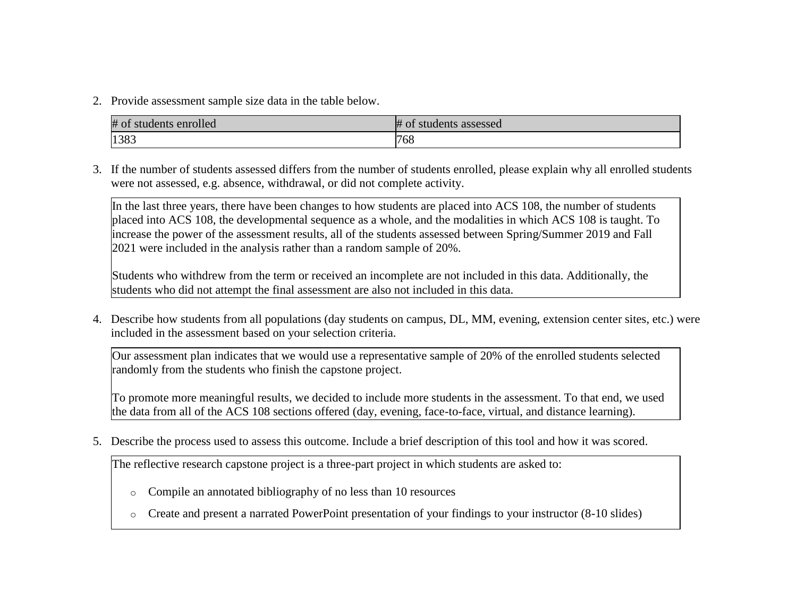2. Provide assessment sample size data in the table below.

| # of students enrolled | $#$ of<br>students assessed |
|------------------------|-----------------------------|
| 1383                   | 768                         |

3. If the number of students assessed differs from the number of students enrolled, please explain why all enrolled students were not assessed, e.g. absence, withdrawal, or did not complete activity.

In the last three years, there have been changes to how students are placed into ACS 108, the number of students placed into ACS 108, the developmental sequence as a whole, and the modalities in which ACS 108 is taught. To increase the power of the assessment results, all of the students assessed between Spring/Summer 2019 and Fall 2021 were included in the analysis rather than a random sample of 20%.

Students who withdrew from the term or received an incomplete are not included in this data. Additionally, the students who did not attempt the final assessment are also not included in this data.

4. Describe how students from all populations (day students on campus, DL, MM, evening, extension center sites, etc.) were included in the assessment based on your selection criteria.

Our assessment plan indicates that we would use a representative sample of 20% of the enrolled students selected randomly from the students who finish the capstone project.

To promote more meaningful results, we decided to include more students in the assessment. To that end, we used the data from all of the ACS 108 sections offered (day, evening, face-to-face, virtual, and distance learning).

5. Describe the process used to assess this outcome. Include a brief description of this tool and how it was scored.

The reflective research capstone project is a three-part project in which students are asked to:

- o Compile an annotated bibliography of no less than 10 resources
- o Create and present a narrated PowerPoint presentation of your findings to your instructor (8-10 slides)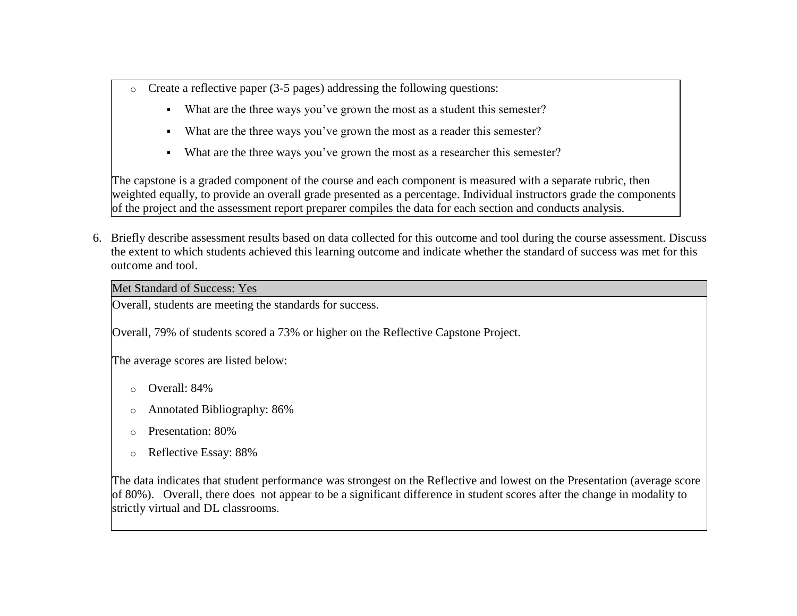- $\circ$  Create a reflective paper (3-5 pages) addressing the following questions:
	- What are the three ways you've grown the most as a student this semester?
	- What are the three ways you've grown the most as a reader this semester?
	- What are the three ways you've grown the most as a researcher this semester?

The capstone is a graded component of the course and each component is measured with a separate rubric, then weighted equally, to provide an overall grade presented as a percentage. Individual instructors grade the components of the project and the assessment report preparer compiles the data for each section and conducts analysis.

6. Briefly describe assessment results based on data collected for this outcome and tool during the course assessment. Discuss the extent to which students achieved this learning outcome and indicate whether the standard of success was met for this outcome and tool.

Met Standard of Success: Yes

Overall, students are meeting the standards for success.

Overall, 79% of students scored a 73% or higher on the Reflective Capstone Project.

The average scores are listed below:

- o Overall: 84%
- o Annotated Bibliography: 86%
- o Presentation: 80%
- o Reflective Essay: 88%

The data indicates that student performance was strongest on the Reflective and lowest on the Presentation (average score of 80%). Overall, there does not appear to be a significant difference in student scores after the change in modality to strictly virtual and DL classrooms.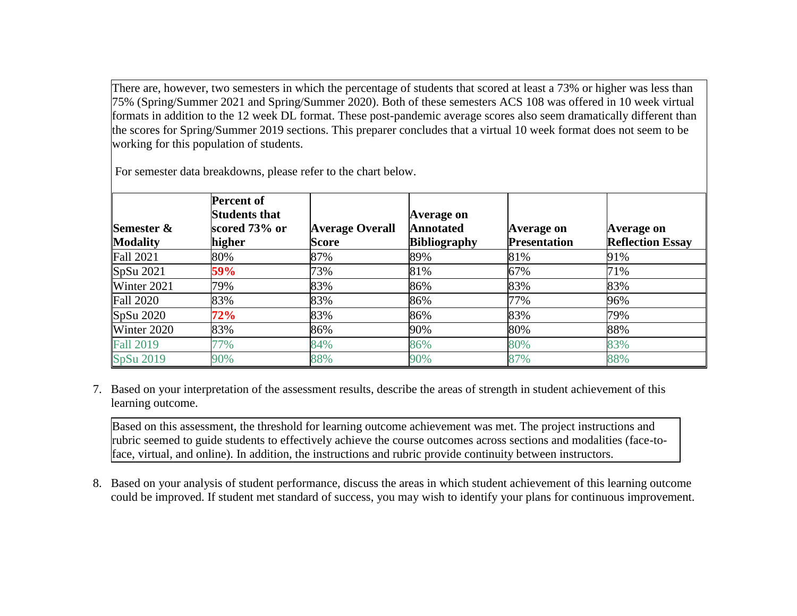There are, however, two semesters in which the percentage of students that scored at least a 73% or higher was less than 75% (Spring/Summer 2021 and Spring/Summer 2020). Both of these semesters ACS 108 was offered in 10 week virtual formats in addition to the 12 week DL format. These post-pandemic average scores also seem dramatically different than the scores for Spring/Summer 2019 sections. This preparer concludes that a virtual 10 week format does not seem to be working for this population of students.

|                  | <b>Percent of</b>    |                        |                     |                     |                         |
|------------------|----------------------|------------------------|---------------------|---------------------|-------------------------|
|                  | <b>Students that</b> |                        | Average on          |                     |                         |
| Semester &       | scored 73% or        | <b>Average Overall</b> | <b>Annotated</b>    | Average on          | Average on              |
| <b>Modality</b>  | higher               | Score                  | <b>Bibliography</b> | <b>Presentation</b> | <b>Reflection Essay</b> |
| <b>Fall 2021</b> | 80%                  | 87%                    | 89%                 | 81%                 | 91%                     |
| SpSu 2021        | 59%                  | 73%                    | 81%                 | 67%                 | 71%                     |
| Winter 2021      | 79%                  | 83%                    | 86%                 | 83%                 | 83%                     |
| <b>Fall 2020</b> | 83%                  | 83%                    | 86%                 | 77%                 | 96%                     |
| SpSu 2020        | 72%                  | 83%                    | 86%                 | 83%                 | 79%                     |
| Winter 2020      | 83%                  | 86%                    | 90%                 | 80%                 | 88%                     |
| <b>Fall 2019</b> | 77%                  | 84%                    | 86%                 | 80%                 | 83%                     |
| SpSu 2019        | 90%                  | 88%                    | 90%                 | 87%                 | 88%                     |

For semester data breakdowns, please refer to the chart below.

7. Based on your interpretation of the assessment results, describe the areas of strength in student achievement of this learning outcome.

Based on this assessment, the threshold for learning outcome achievement was met. The project instructions and rubric seemed to guide students to effectively achieve the course outcomes across sections and modalities (face-toface, virtual, and online). In addition, the instructions and rubric provide continuity between instructors.

8. Based on your analysis of student performance, discuss the areas in which student achievement of this learning outcome could be improved. If student met standard of success, you may wish to identify your plans for continuous improvement.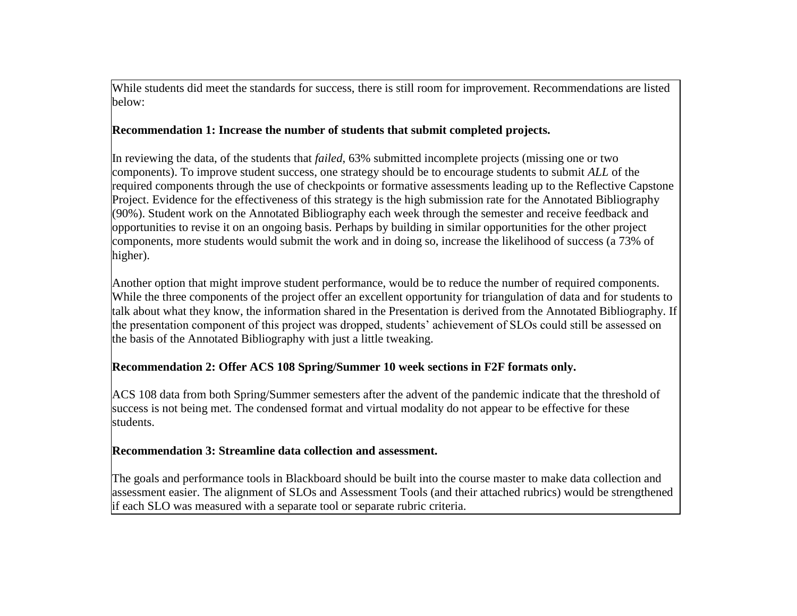While students did meet the standards for success, there is still room for improvement. Recommendations are listed below:

### **Recommendation 1: Increase the number of students that submit completed projects.**

In reviewing the data, of the students that *failed*, 63% submitted incomplete projects (missing one or two components). To improve student success, one strategy should be to encourage students to submit *ALL* of the required components through the use of checkpoints or formative assessments leading up to the Reflective Capstone Project. Evidence for the effectiveness of this strategy is the high submission rate for the Annotated Bibliography (90%). Student work on the Annotated Bibliography each week through the semester and receive feedback and opportunities to revise it on an ongoing basis. Perhaps by building in similar opportunities for the other project components, more students would submit the work and in doing so, increase the likelihood of success (a 73% of higher).

Another option that might improve student performance, would be to reduce the number of required components. While the three components of the project offer an excellent opportunity for triangulation of data and for students to talk about what they know, the information shared in the Presentation is derived from the Annotated Bibliography. If the presentation component of this project was dropped, students' achievement of SLOs could still be assessed on the basis of the Annotated Bibliography with just a little tweaking.

## **Recommendation 2: Offer ACS 108 Spring/Summer 10 week sections in F2F formats only.**

ACS 108 data from both Spring/Summer semesters after the advent of the pandemic indicate that the threshold of success is not being met. The condensed format and virtual modality do not appear to be effective for these students.

## **Recommendation 3: Streamline data collection and assessment.**

The goals and performance tools in Blackboard should be built into the course master to make data collection and assessment easier. The alignment of SLOs and Assessment Tools (and their attached rubrics) would be strengthened if each SLO was measured with a separate tool or separate rubric criteria.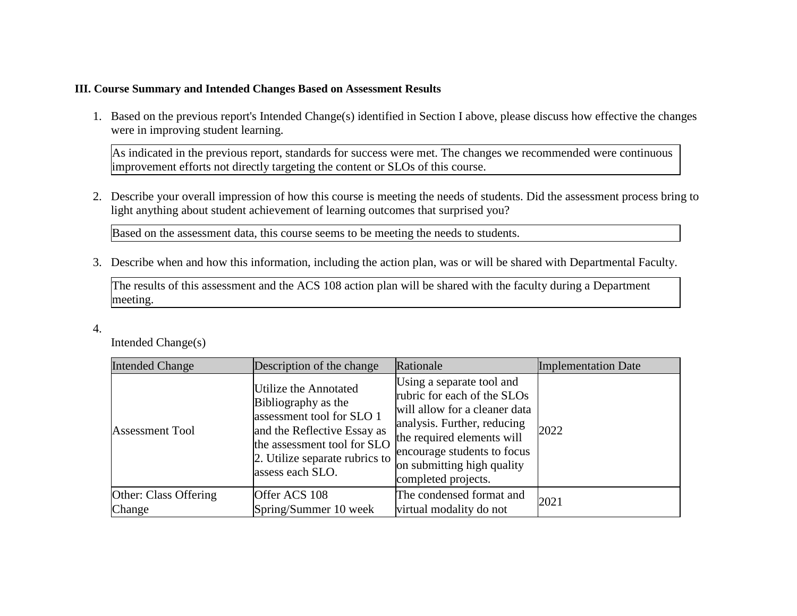### **III. Course Summary and Intended Changes Based on Assessment Results**

1. Based on the previous report's Intended Change(s) identified in Section I above, please discuss how effective the changes were in improving student learning.

As indicated in the previous report, standards for success were met. The changes we recommended were continuous improvement efforts not directly targeting the content or SLOs of this course.

2. Describe your overall impression of how this course is meeting the needs of students. Did the assessment process bring to light anything about student achievement of learning outcomes that surprised you?

Based on the assessment data, this course seems to be meeting the needs to students.

3. Describe when and how this information, including the action plan, was or will be shared with Departmental Faculty.

The results of this assessment and the ACS 108 action plan will be shared with the faculty during a Department meeting.

4.

Intended Change(s)

| <b>Intended Change</b> | Description of the change                                                                                                                                                                     | Rationale                                                                                                                                                                                                                                  | <b>Implementation Date</b> |
|------------------------|-----------------------------------------------------------------------------------------------------------------------------------------------------------------------------------------------|--------------------------------------------------------------------------------------------------------------------------------------------------------------------------------------------------------------------------------------------|----------------------------|
| <b>Assessment Tool</b> | Utilize the Annotated<br>Bibliography as the<br>assessment tool for SLO 1<br>and the Reflective Essay as<br>the assessment tool for SLO<br>2. Utilize separate rubrics to<br>assess each SLO. | Using a separate tool and<br>rubric for each of the SLOs<br>will allow for a cleaner data<br>analysis. Further, reducing<br>the required elements will<br>encourage students to focus<br>on submitting high quality<br>completed projects. | 2022                       |
| Other: Class Offering  | Offer ACS 108                                                                                                                                                                                 | The condensed format and                                                                                                                                                                                                                   | 2021                       |
| Change                 | Spring/Summer 10 week                                                                                                                                                                         | virtual modality do not                                                                                                                                                                                                                    |                            |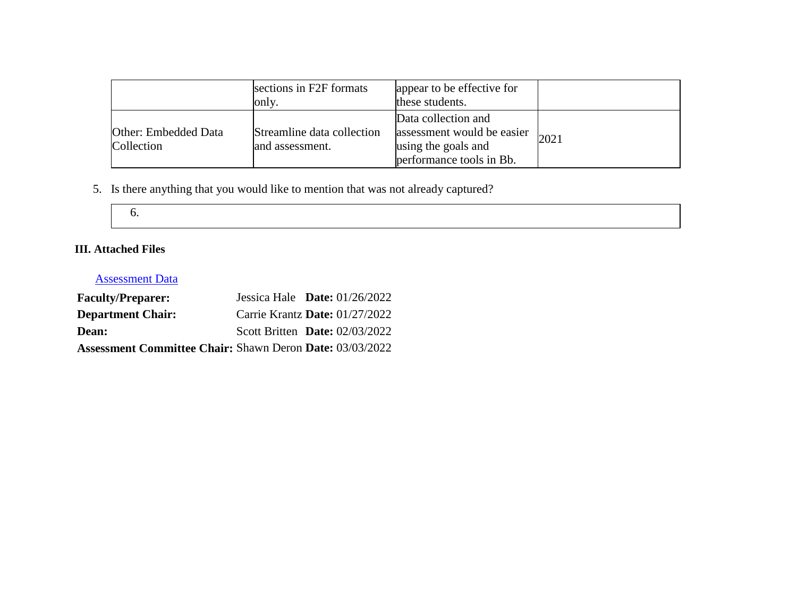|                                    | sections in F2F formats<br>only.              | appear to be effective for<br>these students.                                                        |       |
|------------------------------------|-----------------------------------------------|------------------------------------------------------------------------------------------------------|-------|
| Other: Embedded Data<br>Collection | Streamline data collection<br>and assessment. | Data collection and<br>assessment would be easier<br>using the goals and<br>performance tools in Bb. | 12021 |

5. Is there anything that you would like to mention that was not already captured?

| ×<br>$\sim$<br>$\sim$<br>v |
|----------------------------|
|                            |

## **III. Attached Files**

# [Assessment Data](documents/Data%20for%20ACS%20108%20Assessment%202022%20C%20A%20Copy.xlsx)

| <b>Faculty/Preparer:</b>                                        | Jessica Hale Date: $01/26/2022$  |  |
|-----------------------------------------------------------------|----------------------------------|--|
| <b>Department Chair:</b>                                        | Carrie Krantz Date: 01/27/2022   |  |
| <b>Dean:</b>                                                    | Scott Britten Date: $02/03/2022$ |  |
| <b>Assessment Committee Chair: Shawn Deron Date: 03/03/2022</b> |                                  |  |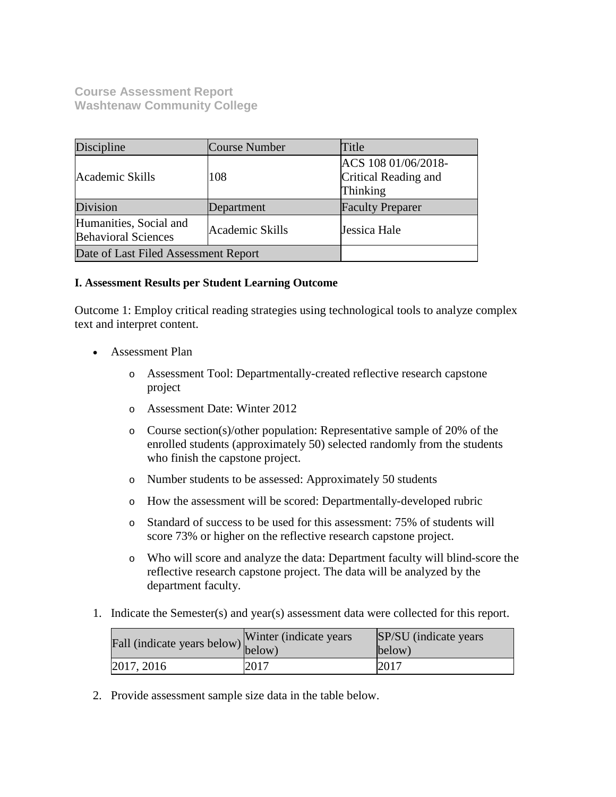**Course Assessment Report Washtenaw Community College**

| Discipline                                           | <b>Course Number</b> | Title                                                   |
|------------------------------------------------------|----------------------|---------------------------------------------------------|
| Academic Skills                                      | 108                  | ACS 108 01/06/2018-<br>Critical Reading and<br>Thinking |
| Division                                             | Department           | <b>Faculty Preparer</b>                                 |
| Humanities, Social and<br><b>Behavioral Sciences</b> | Academic Skills      | Jessica Hale                                            |
| Date of Last Filed Assessment Report                 |                      |                                                         |

### **I. Assessment Results per Student Learning Outcome**

Outcome 1: Employ critical reading strategies using technological tools to analyze complex text and interpret content.

- Assessment Plan
	- o Assessment Tool: Departmentally-created reflective research capstone project
	- o Assessment Date: Winter 2012
	- o Course section(s)/other population: Representative sample of 20% of the enrolled students (approximately 50) selected randomly from the students who finish the capstone project.
	- o Number students to be assessed: Approximately 50 students
	- o How the assessment will be scored: Departmentally-developed rubric
	- o Standard of success to be used for this assessment: 75% of students will score 73% or higher on the reflective research capstone project.
	- o Who will score and analyze the data: Department faculty will blind-score the reflective research capstone project. The data will be analyzed by the department faculty.
- 1. Indicate the Semester(s) and year(s) assessment data were collected for this report.

| Fall (indicate years below) below) | Winter (indicate years) | SP/SU (indicate years)<br>below) |
|------------------------------------|-------------------------|----------------------------------|
| 2017, 2016                         | 2017                    | 2017                             |

2. Provide assessment sample size data in the table below.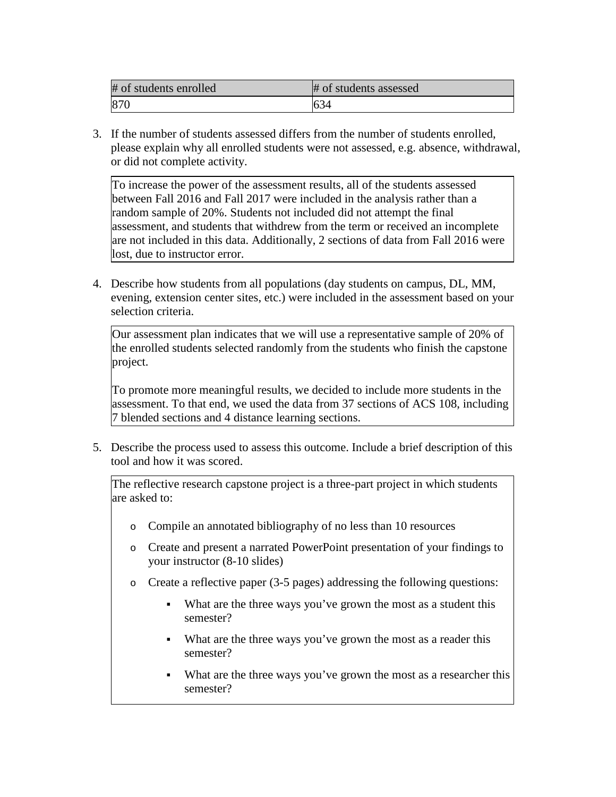| # of students enrolled | # of students assessed |
|------------------------|------------------------|
| 870                    | O34                    |

3. If the number of students assessed differs from the number of students enrolled, please explain why all enrolled students were not assessed, e.g. absence, withdrawal, or did not complete activity.

To increase the power of the assessment results, all of the students assessed between Fall 2016 and Fall 2017 were included in the analysis rather than a random sample of 20%. Students not included did not attempt the final assessment, and students that withdrew from the term or received an incomplete are not included in this data. Additionally, 2 sections of data from Fall 2016 were lost, due to instructor error.

4. Describe how students from all populations (day students on campus, DL, MM, evening, extension center sites, etc.) were included in the assessment based on your selection criteria.

Our assessment plan indicates that we will use a representative sample of 20% of the enrolled students selected randomly from the students who finish the capstone project.

To promote more meaningful results, we decided to include more students in the assessment. To that end, we used the data from 37 sections of ACS 108, including 7 blended sections and 4 distance learning sections.

5. Describe the process used to assess this outcome. Include a brief description of this tool and how it was scored.

The reflective research capstone project is a three-part project in which students are asked to:

- o Compile an annotated bibliography of no less than 10 resources
- o Create and present a narrated PowerPoint presentation of your findings to your instructor (8-10 slides)
- o Create a reflective paper (3-5 pages) addressing the following questions:
	- What are the three ways you've grown the most as a student this semester?
	- What are the three ways you've grown the most as a reader this semester?
	- What are the three ways you've grown the most as a researcher this semester?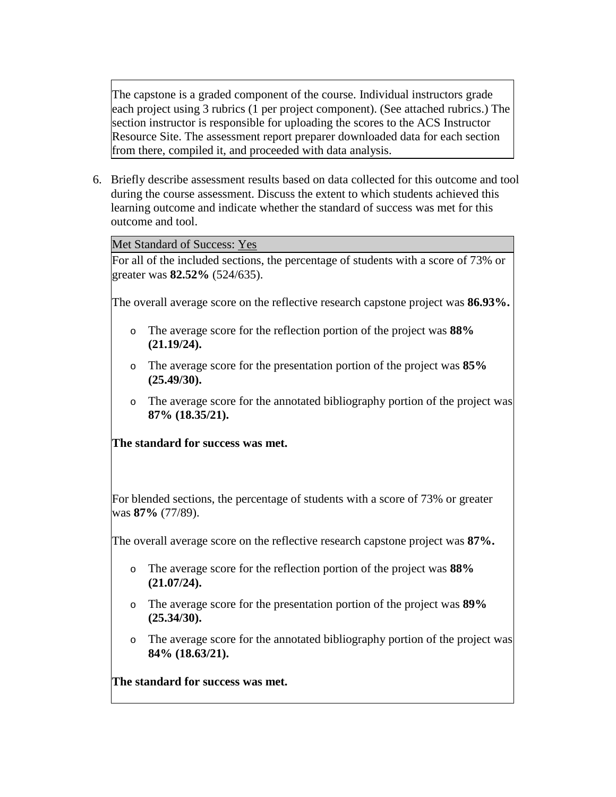The capstone is a graded component of the course. Individual instructors grade each project using 3 rubrics (1 per project component). (See attached rubrics.) The section instructor is responsible for uploading the scores to the ACS Instructor Resource Site. The assessment report preparer downloaded data for each section from there, compiled it, and proceeded with data analysis.

6. Briefly describe assessment results based on data collected for this outcome and tool during the course assessment. Discuss the extent to which students achieved this learning outcome and indicate whether the standard of success was met for this outcome and tool.

Met Standard of Success: Yes

For all of the included sections, the percentage of students with a score of 73% or greater was **82.52%** (524/635).

The overall average score on the reflective research capstone project was **86.93%.**

- o The average score for the reflection portion of the project was **88% (21.19/24).**
- o The average score for the presentation portion of the project was **85% (25.49/30).**
- o The average score for the annotated bibliography portion of the project was **87% (18.35/21).**

## **The standard for success was met.**

For blended sections, the percentage of students with a score of 73% or greater was **87%** (77/89).

The overall average score on the reflective research capstone project was **87%.**

- o The average score for the reflection portion of the project was **88% (21.07/24).**
- o The average score for the presentation portion of the project was **89% (25.34/30).**
- o The average score for the annotated bibliography portion of the project was **84% (18.63/21).**

**The standard for success was met.**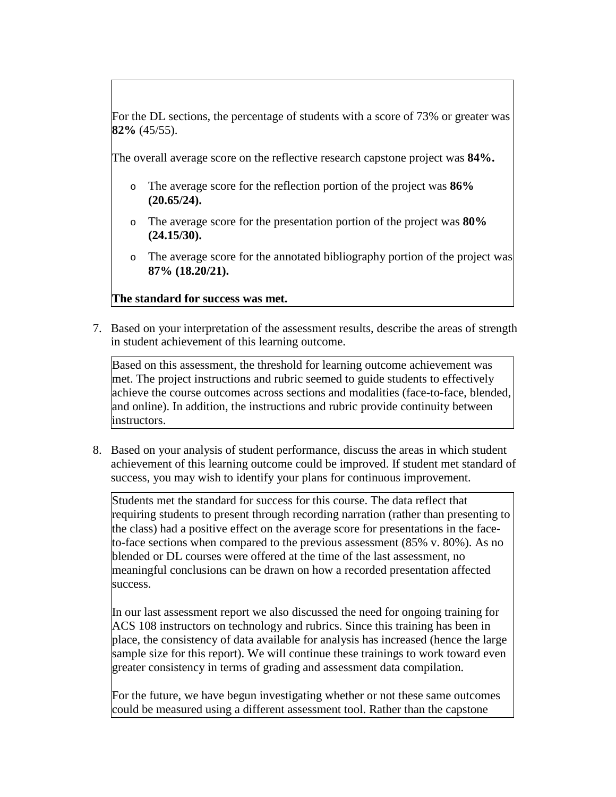For the DL sections, the percentage of students with a score of 73% or greater was **82%** (45/55).

The overall average score on the reflective research capstone project was **84%.**

- o The average score for the reflection portion of the project was **86% (20.65/24).**
- o The average score for the presentation portion of the project was **80% (24.15/30).**
- o The average score for the annotated bibliography portion of the project was **87% (18.20/21).**

## **The standard for success was met.**

7. Based on your interpretation of the assessment results, describe the areas of strength in student achievement of this learning outcome.

Based on this assessment, the threshold for learning outcome achievement was met. The project instructions and rubric seemed to guide students to effectively achieve the course outcomes across sections and modalities (face-to-face, blended, and online). In addition, the instructions and rubric provide continuity between instructors.

8. Based on your analysis of student performance, discuss the areas in which student achievement of this learning outcome could be improved. If student met standard of success, you may wish to identify your plans for continuous improvement.

Students met the standard for success for this course. The data reflect that requiring students to present through recording narration (rather than presenting to the class) had a positive effect on the average score for presentations in the faceto-face sections when compared to the previous assessment (85% v. 80%). As no blended or DL courses were offered at the time of the last assessment, no meaningful conclusions can be drawn on how a recorded presentation affected success.

In our last assessment report we also discussed the need for ongoing training for ACS 108 instructors on technology and rubrics. Since this training has been in place, the consistency of data available for analysis has increased (hence the large sample size for this report). We will continue these trainings to work toward even greater consistency in terms of grading and assessment data compilation.

For the future, we have begun investigating whether or not these same outcomes could be measured using a different assessment tool. Rather than the capstone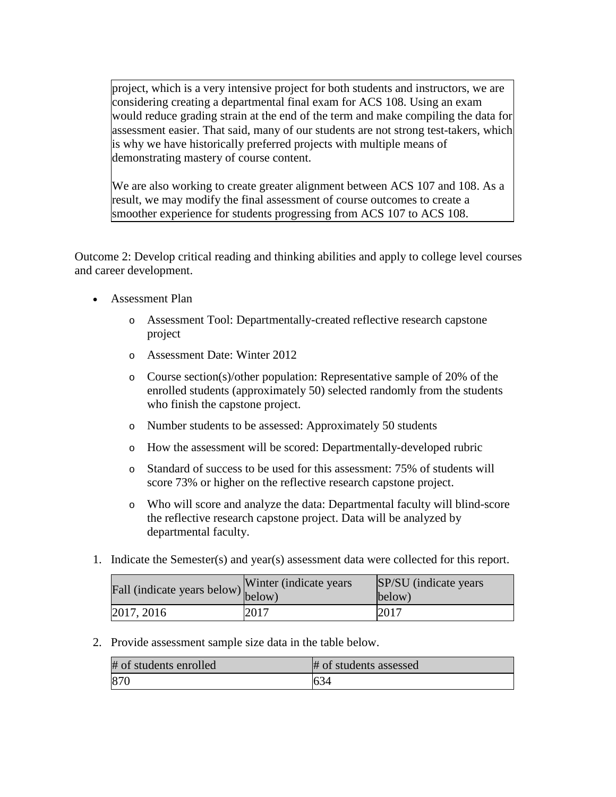project, which is a very intensive project for both students and instructors, we are considering creating a departmental final exam for ACS 108. Using an exam would reduce grading strain at the end of the term and make compiling the data for assessment easier. That said, many of our students are not strong test-takers, which is why we have historically preferred projects with multiple means of demonstrating mastery of course content.

We are also working to create greater alignment between ACS 107 and 108. As a result, we may modify the final assessment of course outcomes to create a smoother experience for students progressing from ACS 107 to ACS 108.

Outcome 2: Develop critical reading and thinking abilities and apply to college level courses and career development.

- Assessment Plan
	- o Assessment Tool: Departmentally-created reflective research capstone project
	- o Assessment Date: Winter 2012
	- o Course section(s)/other population: Representative sample of 20% of the enrolled students (approximately 50) selected randomly from the students who finish the capstone project.
	- o Number students to be assessed: Approximately 50 students
	- o How the assessment will be scored: Departmentally-developed rubric
	- o Standard of success to be used for this assessment: 75% of students will score 73% or higher on the reflective research capstone project.
	- o Who will score and analyze the data: Departmental faculty will blind-score the reflective research capstone project. Data will be analyzed by departmental faculty.
- 1. Indicate the Semester(s) and year(s) assessment data were collected for this report.

| Fall (indicate years below) below) | Winter (indicate years) | SP/SU (indicate years)<br>below) |
|------------------------------------|-------------------------|----------------------------------|
| 2017, 2016                         | 2017                    | 2017                             |

2. Provide assessment sample size data in the table below.

| # of students enrolled | # of students assessed |
|------------------------|------------------------|
| 870                    | 1634                   |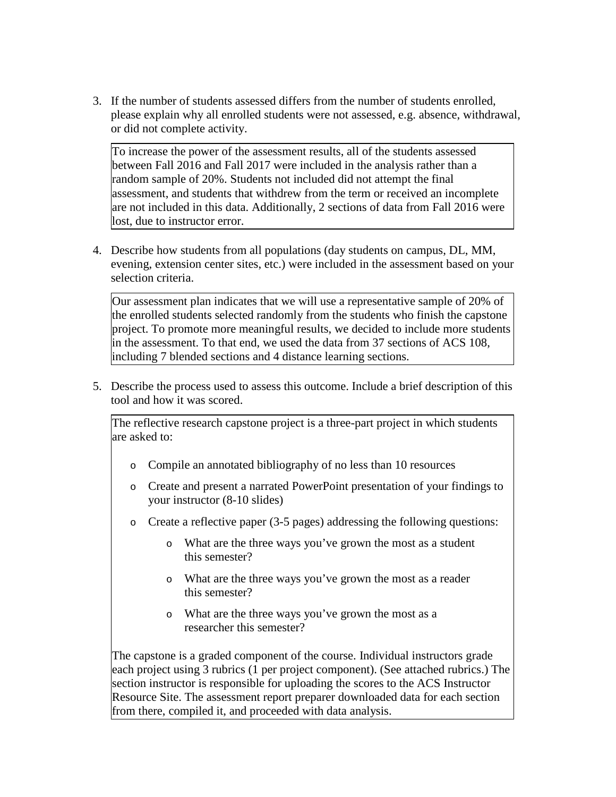3. If the number of students assessed differs from the number of students enrolled, please explain why all enrolled students were not assessed, e.g. absence, withdrawal, or did not complete activity.

To increase the power of the assessment results, all of the students assessed between Fall 2016 and Fall 2017 were included in the analysis rather than a random sample of 20%. Students not included did not attempt the final assessment, and students that withdrew from the term or received an incomplete are not included in this data. Additionally, 2 sections of data from Fall 2016 were lost, due to instructor error.

4. Describe how students from all populations (day students on campus, DL, MM, evening, extension center sites, etc.) were included in the assessment based on your selection criteria.

Our assessment plan indicates that we will use a representative sample of 20% of the enrolled students selected randomly from the students who finish the capstone project. To promote more meaningful results, we decided to include more students in the assessment. To that end, we used the data from 37 sections of ACS 108, including 7 blended sections and 4 distance learning sections.

5. Describe the process used to assess this outcome. Include a brief description of this tool and how it was scored.

The reflective research capstone project is a three-part project in which students are asked to:

- o Compile an annotated bibliography of no less than 10 resources
- o Create and present a narrated PowerPoint presentation of your findings to your instructor (8-10 slides)
- o Create a reflective paper (3-5 pages) addressing the following questions:
	- o What are the three ways you've grown the most as a student this semester?
	- o What are the three ways you've grown the most as a reader this semester?
	- o What are the three ways you've grown the most as a researcher this semester?

The capstone is a graded component of the course. Individual instructors grade each project using 3 rubrics (1 per project component). (See attached rubrics.) The section instructor is responsible for uploading the scores to the ACS Instructor Resource Site. The assessment report preparer downloaded data for each section from there, compiled it, and proceeded with data analysis.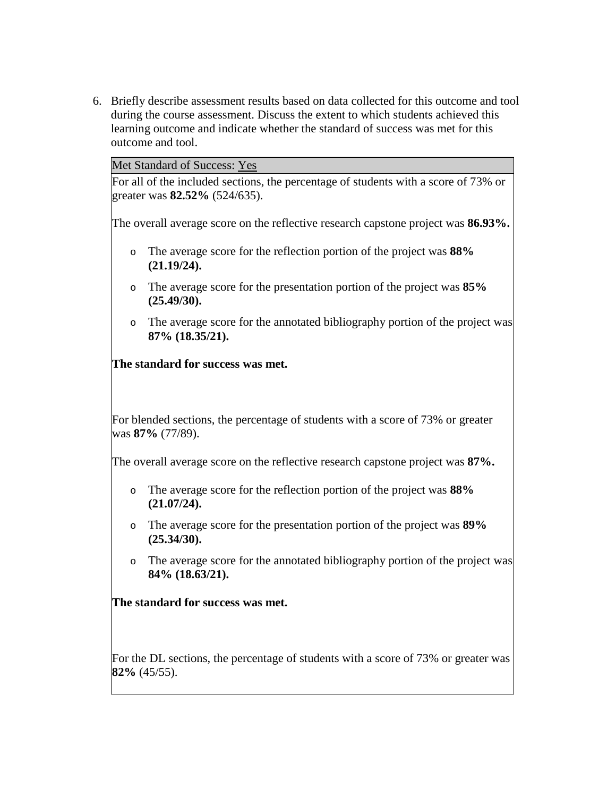6. Briefly describe assessment results based on data collected for this outcome and tool during the course assessment. Discuss the extent to which students achieved this learning outcome and indicate whether the standard of success was met for this outcome and tool.

Met Standard of Success: Yes

For all of the included sections, the percentage of students with a score of 73% or greater was **82.52%** (524/635).

The overall average score on the reflective research capstone project was **86.93%.**

- o The average score for the reflection portion of the project was **88% (21.19/24).**
- o The average score for the presentation portion of the project was **85% (25.49/30).**
- o The average score for the annotated bibliography portion of the project was **87% (18.35/21).**

**The standard for success was met.**

For blended sections, the percentage of students with a score of 73% or greater was **87%** (77/89).

The overall average score on the reflective research capstone project was **87%.**

- o The average score for the reflection portion of the project was **88% (21.07/24).**
- o The average score for the presentation portion of the project was **89% (25.34/30).**
- o The average score for the annotated bibliography portion of the project was **84% (18.63/21).**

**The standard for success was met.**

For the DL sections, the percentage of students with a score of 73% or greater was **82%** (45/55).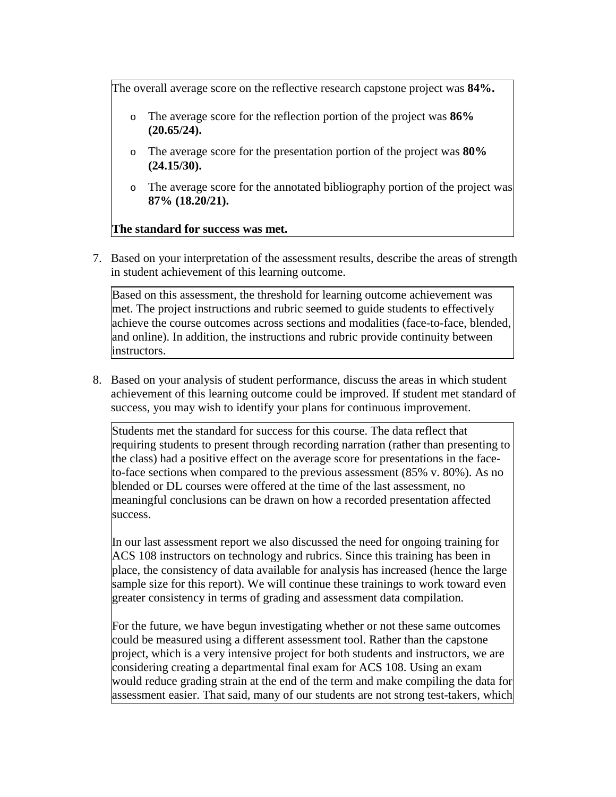The overall average score on the reflective research capstone project was **84%.**

- The average score for the reflection portion of the project was **86% (20.65/24).**
- o The average score for the presentation portion of the project was **80% (24.15/30).**
- o The average score for the annotated bibliography portion of the project was **87% (18.20/21).**

## **The standard for success was met.**

7. Based on your interpretation of the assessment results, describe the areas of strength in student achievement of this learning outcome.

Based on this assessment, the threshold for learning outcome achievement was met. The project instructions and rubric seemed to guide students to effectively achieve the course outcomes across sections and modalities (face-to-face, blended, and online). In addition, the instructions and rubric provide continuity between instructors.

8. Based on your analysis of student performance, discuss the areas in which student achievement of this learning outcome could be improved. If student met standard of success, you may wish to identify your plans for continuous improvement.

Students met the standard for success for this course. The data reflect that requiring students to present through recording narration (rather than presenting to the class) had a positive effect on the average score for presentations in the faceto-face sections when compared to the previous assessment (85% v. 80%). As no blended or DL courses were offered at the time of the last assessment, no meaningful conclusions can be drawn on how a recorded presentation affected success.

In our last assessment report we also discussed the need for ongoing training for ACS 108 instructors on technology and rubrics. Since this training has been in place, the consistency of data available for analysis has increased (hence the large sample size for this report). We will continue these trainings to work toward even greater consistency in terms of grading and assessment data compilation.

For the future, we have begun investigating whether or not these same outcomes could be measured using a different assessment tool. Rather than the capstone project, which is a very intensive project for both students and instructors, we are considering creating a departmental final exam for ACS 108. Using an exam would reduce grading strain at the end of the term and make compiling the data for assessment easier. That said, many of our students are not strong test-takers, which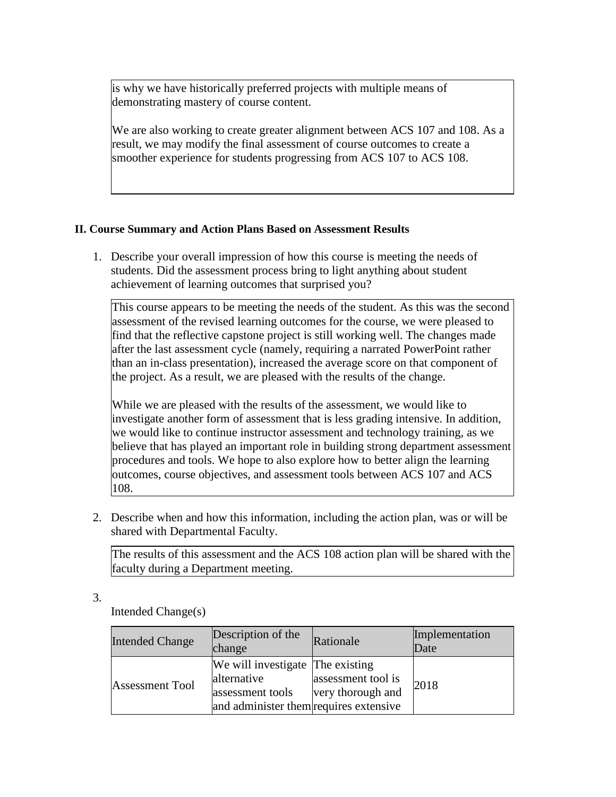is why we have historically preferred projects with multiple means of demonstrating mastery of course content.

We are also working to create greater alignment between ACS 107 and 108. As a result, we may modify the final assessment of course outcomes to create a smoother experience for students progressing from ACS 107 to ACS 108.

## **II. Course Summary and Action Plans Based on Assessment Results**

1. Describe your overall impression of how this course is meeting the needs of students. Did the assessment process bring to light anything about student achievement of learning outcomes that surprised you?

This course appears to be meeting the needs of the student. As this was the second assessment of the revised learning outcomes for the course, we were pleased to find that the reflective capstone project is still working well. The changes made after the last assessment cycle (namely, requiring a narrated PowerPoint rather than an in-class presentation), increased the average score on that component of the project. As a result, we are pleased with the results of the change.

While we are pleased with the results of the assessment, we would like to investigate another form of assessment that is less grading intensive. In addition, we would like to continue instructor assessment and technology training, as we believe that has played an important role in building strong department assessment procedures and tools. We hope to also explore how to better align the learning outcomes, course objectives, and assessment tools between ACS 107 and ACS 108.

2. Describe when and how this information, including the action plan, was or will be shared with Departmental Faculty.

The results of this assessment and the ACS 108 action plan will be shared with the faculty during a Department meeting.

3.

Intended Change(s)

| <b>Intended Change</b> | Description of the<br>change                                                                                  | Rationale                               | Implementation<br>Date |
|------------------------|---------------------------------------------------------------------------------------------------------------|-----------------------------------------|------------------------|
| <b>Assessment Tool</b> | We will investigate The existing<br>alternative<br>assessment tools<br>and administer them requires extensive | assessment tool is<br>very thorough and | 2018                   |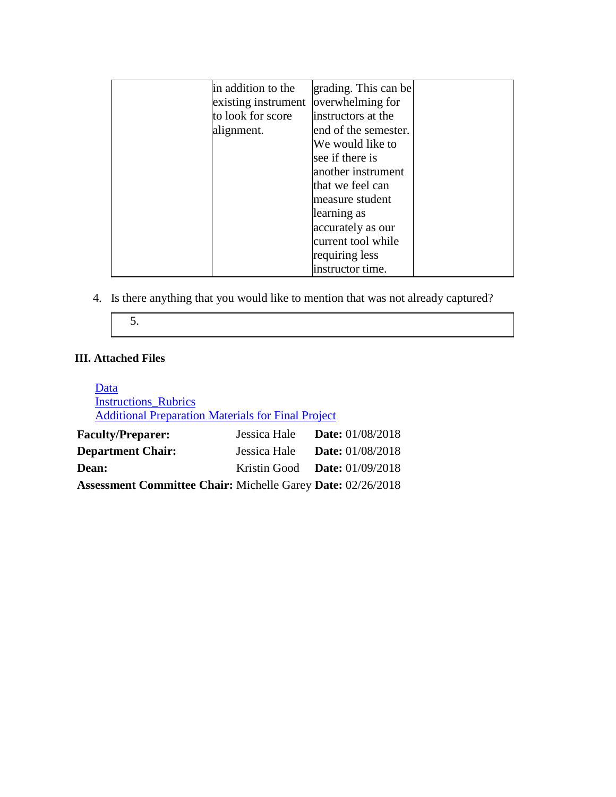| in addition to the  | grading. This can be |  |
|---------------------|----------------------|--|
| existing instrument | overwhelming for     |  |
| to look for score   | instructors at the   |  |
| alignment.          | end of the semester. |  |
|                     | We would like to     |  |
|                     | see if there is      |  |
|                     | another instrument   |  |
|                     | that we feel can     |  |
|                     | measure student      |  |
|                     | learning as          |  |
|                     | accurately as our    |  |
|                     | current tool while   |  |
|                     | requiring less       |  |
|                     | instructor time.     |  |

4. Is there anything that you would like to mention that was not already captured?

$$
5.
$$

## **III. Attached Files**

| Data                                                               |                                        |                         |
|--------------------------------------------------------------------|----------------------------------------|-------------------------|
| <b>Instructions Rubrics</b>                                        |                                        |                         |
| <b>Additional Preparation Materials for Final Project</b>          |                                        |                         |
| <b>Faculty/Preparer:</b>                                           | Jessica Hale                           | <b>Date:</b> 01/08/2018 |
| <b>Department Chair:</b>                                           | Jessica Hale                           | <b>Date:</b> 01/08/2018 |
| <b>Dean:</b>                                                       | Kristin Good <b>Date:</b> $01/09/2018$ |                         |
| <b>Assessment Committee Chair: Michelle Garey Date: 02/26/2018</b> |                                        |                         |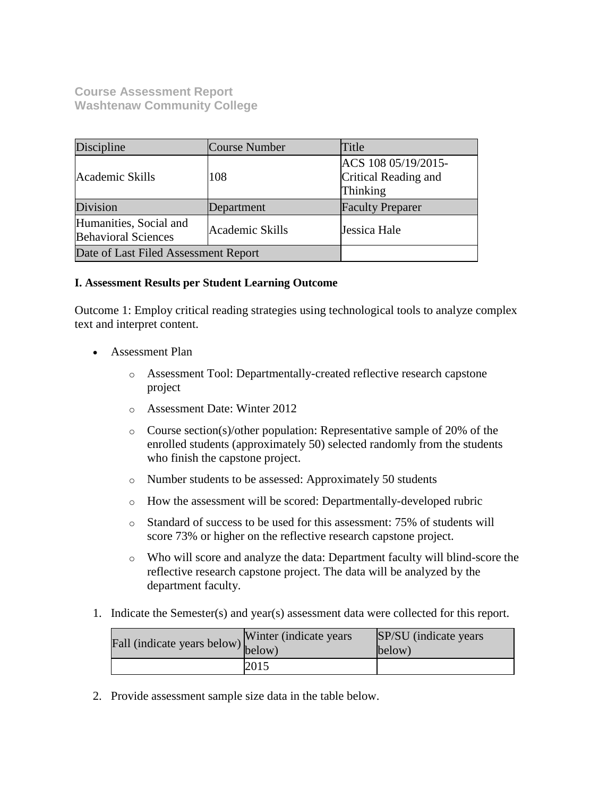**Course Assessment Report Washtenaw Community College**

| Discipline                                           | <b>Course Number</b> | Title                                                   |
|------------------------------------------------------|----------------------|---------------------------------------------------------|
| Academic Skills                                      | 108                  | ACS 108 05/19/2015-<br>Critical Reading and<br>Thinking |
| Division                                             | Department           | <b>Faculty Preparer</b>                                 |
| Humanities, Social and<br><b>Behavioral Sciences</b> | Academic Skills      | Jessica Hale                                            |
| Date of Last Filed Assessment Report                 |                      |                                                         |

### **I. Assessment Results per Student Learning Outcome**

Outcome 1: Employ critical reading strategies using technological tools to analyze complex text and interpret content.

- Assessment Plan
	- o Assessment Tool: Departmentally-created reflective research capstone project
	- o Assessment Date: Winter 2012
	- o Course section(s)/other population: Representative sample of 20% of the enrolled students (approximately 50) selected randomly from the students who finish the capstone project.
	- o Number students to be assessed: Approximately 50 students
	- o How the assessment will be scored: Departmentally-developed rubric
	- o Standard of success to be used for this assessment: 75% of students will score 73% or higher on the reflective research capstone project.
	- o Who will score and analyze the data: Department faculty will blind-score the reflective research capstone project. The data will be analyzed by the department faculty.
- 1. Indicate the Semester(s) and year(s) assessment data were collected for this report.

| Fall (indicate years below) below) | Winter (indicate years) | SP/SU (indicate years)<br>below) |
|------------------------------------|-------------------------|----------------------------------|
|                                    | 2015                    |                                  |

2. Provide assessment sample size data in the table below.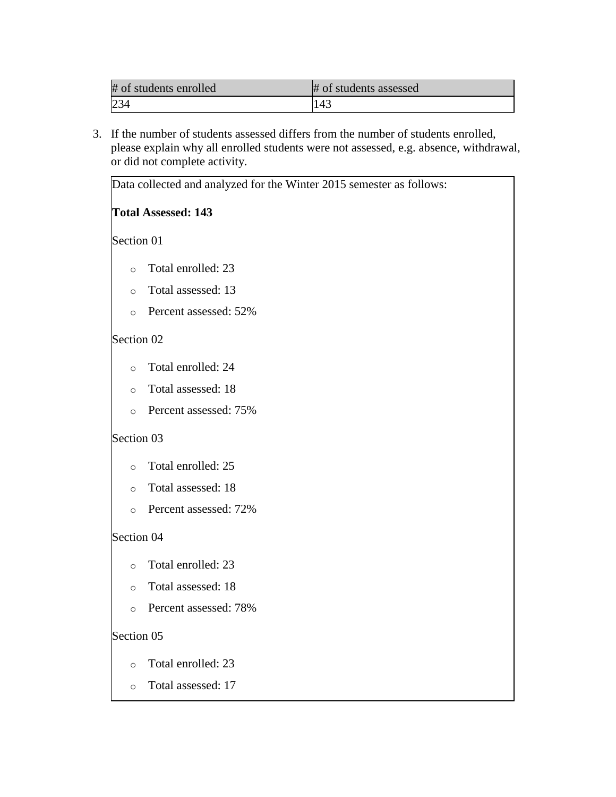| # of students enrolled | # of students assessed |
|------------------------|------------------------|
|                        | 143                    |

3. If the number of students assessed differs from the number of students enrolled, please explain why all enrolled students were not assessed, e.g. absence, withdrawal, or did not complete activity.

|            | Data collected and analyzed for the Winter 2015 semester as follows: |
|------------|----------------------------------------------------------------------|
|            | <b>Total Assessed: 143</b>                                           |
| Section 01 |                                                                      |
| $\circ$    | Total enrolled: 23                                                   |
| $\circ$    | Total assessed: 13                                                   |
| $\circ$    | Percent assessed: 52%                                                |
| Section 02 |                                                                      |
| $\circ$    | Total enrolled: 24                                                   |
| $\circ$    | Total assessed: 18                                                   |
| $\circ$    | Percent assessed: 75%                                                |
| Section 03 |                                                                      |
| $\circ$    | Total enrolled: 25                                                   |
| $\circ$    | Total assessed: 18                                                   |
| $\circ$    | Percent assessed: 72%                                                |
| Section 04 |                                                                      |
| $\circ$    | Total enrolled: 23                                                   |
| $\circ$    | Total assessed: 18                                                   |
| $\circ$    | Percent assessed: 78%                                                |
| Section 05 |                                                                      |
| $\circ$    | Total enrolled: 23                                                   |
| $\circ$    | Total assessed: 17                                                   |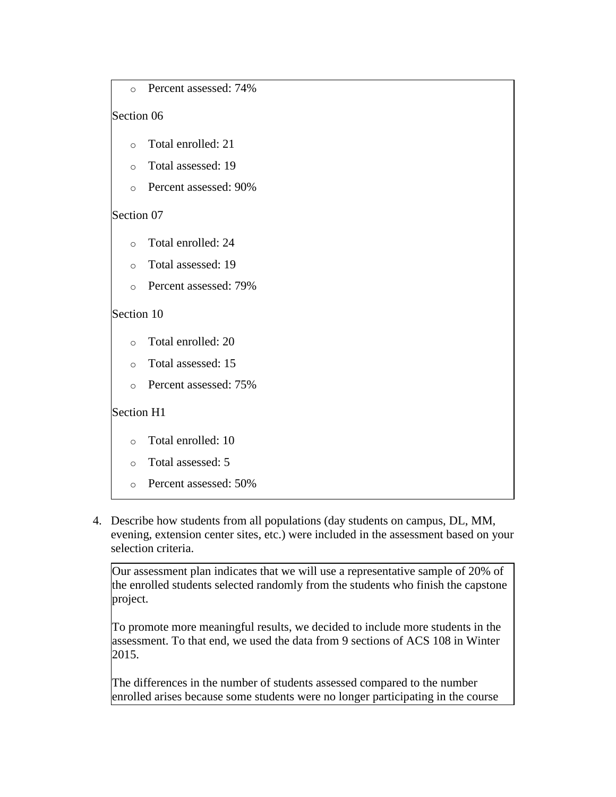```
o Percent assessed: 74%
```
## Section 06

- o Total enrolled: 21
- o Total assessed: 19
- o Percent assessed: 90%

## Section 07

- o Total enrolled: 24
- o Total assessed: 19
- o Percent assessed: 79%

## Section 10

- o Total enrolled: 20
- o Total assessed: 15
- o Percent assessed: 75%

## Section H1

- o Total enrolled: 10
- o Total assessed: 5
- o Percent assessed: 50%
- 4. Describe how students from all populations (day students on campus, DL, MM, evening, extension center sites, etc.) were included in the assessment based on your selection criteria.

Our assessment plan indicates that we will use a representative sample of 20% of the enrolled students selected randomly from the students who finish the capstone project.

To promote more meaningful results, we decided to include more students in the assessment. To that end, we used the data from 9 sections of ACS 108 in Winter 2015.

The differences in the number of students assessed compared to the number enrolled arises because some students were no longer participating in the course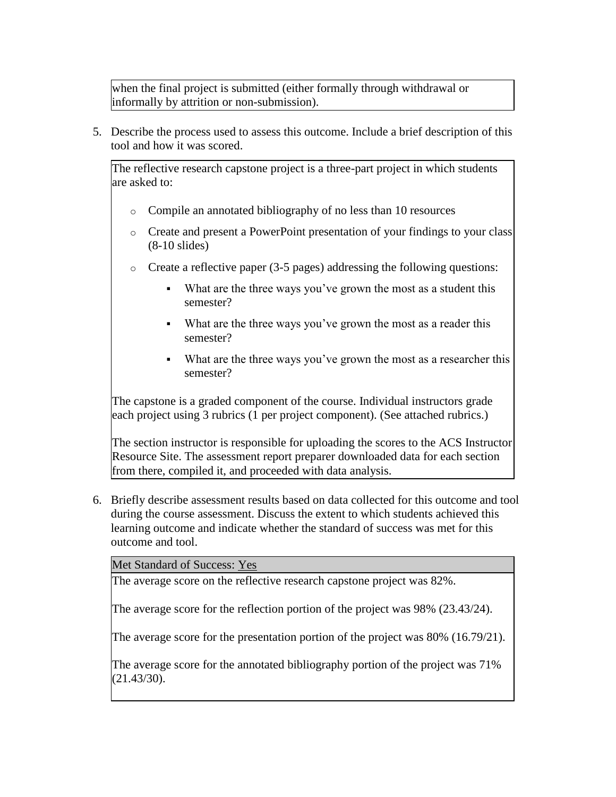when the final project is submitted (either formally through withdrawal or informally by attrition or non-submission).

5. Describe the process used to assess this outcome. Include a brief description of this tool and how it was scored.

The reflective research capstone project is a three-part project in which students are asked to:

- o Compile an annotated bibliography of no less than 10 resources
- o Create and present a PowerPoint presentation of your findings to your class (8-10 slides)
- o Create a reflective paper (3-5 pages) addressing the following questions:
	- What are the three ways you've grown the most as a student this semester?
	- What are the three ways you've grown the most as a reader this semester?
	- What are the three ways you've grown the most as a researcher this semester?

The capstone is a graded component of the course. Individual instructors grade each project using 3 rubrics (1 per project component). (See attached rubrics.)

The section instructor is responsible for uploading the scores to the ACS Instructor Resource Site. The assessment report preparer downloaded data for each section from there, compiled it, and proceeded with data analysis.

6. Briefly describe assessment results based on data collected for this outcome and tool during the course assessment. Discuss the extent to which students achieved this learning outcome and indicate whether the standard of success was met for this outcome and tool.

Met Standard of Success: Yes

The average score on the reflective research capstone project was 82%.

The average score for the reflection portion of the project was 98% (23.43/24).

The average score for the presentation portion of the project was 80% (16.79/21).

The average score for the annotated bibliography portion of the project was 71% (21.43/30).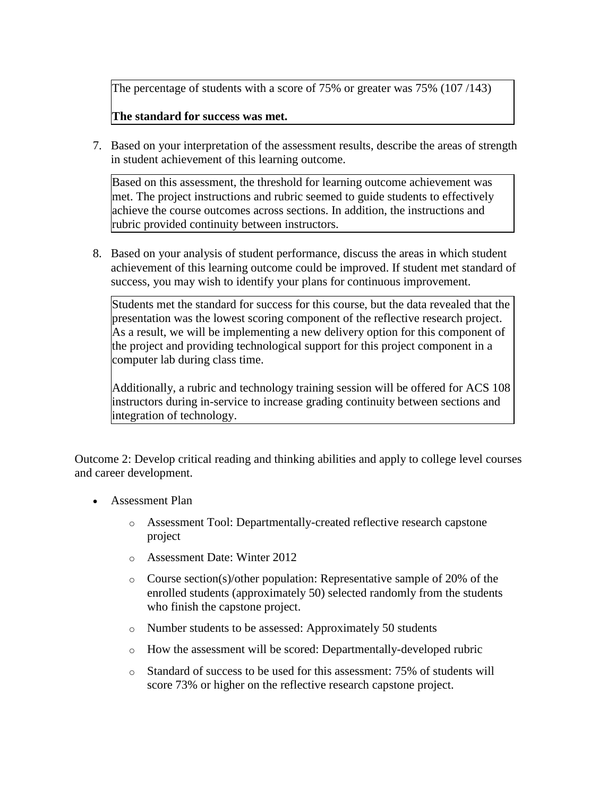The percentage of students with a score of 75% or greater was 75% (107/143)

## **The standard for success was met.**

7. Based on your interpretation of the assessment results, describe the areas of strength in student achievement of this learning outcome.

Based on this assessment, the threshold for learning outcome achievement was met. The project instructions and rubric seemed to guide students to effectively achieve the course outcomes across sections. In addition, the instructions and rubric provided continuity between instructors.

8. Based on your analysis of student performance, discuss the areas in which student achievement of this learning outcome could be improved. If student met standard of success, you may wish to identify your plans for continuous improvement.

Students met the standard for success for this course, but the data revealed that the presentation was the lowest scoring component of the reflective research project. As a result, we will be implementing a new delivery option for this component of the project and providing technological support for this project component in a computer lab during class time.

Additionally, a rubric and technology training session will be offered for ACS 108 instructors during in-service to increase grading continuity between sections and integration of technology.

Outcome 2: Develop critical reading and thinking abilities and apply to college level courses and career development.

- Assessment Plan
	- o Assessment Tool: Departmentally-created reflective research capstone project
	- o Assessment Date: Winter 2012
	- $\circ$  Course section(s)/other population: Representative sample of 20% of the enrolled students (approximately 50) selected randomly from the students who finish the capstone project.
	- o Number students to be assessed: Approximately 50 students
	- o How the assessment will be scored: Departmentally-developed rubric
	- o Standard of success to be used for this assessment: 75% of students will score 73% or higher on the reflective research capstone project.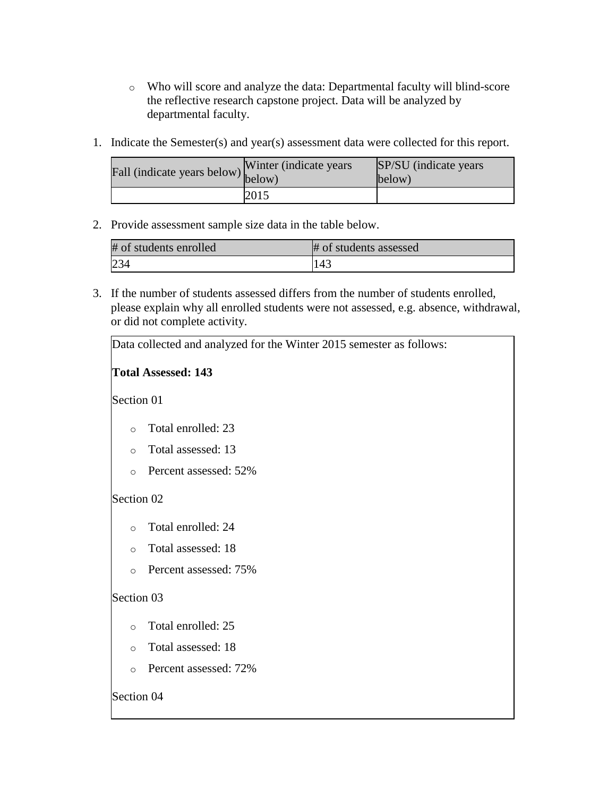- o Who will score and analyze the data: Departmental faculty will blind-score the reflective research capstone project. Data will be analyzed by departmental faculty.
- 1. Indicate the Semester(s) and year(s) assessment data were collected for this report.

| Fall (indicate years below) below) | Winter (indicate years) | SP/SU (indicate years)<br>below) |
|------------------------------------|-------------------------|----------------------------------|
|                                    | 2015                    |                                  |

2. Provide assessment sample size data in the table below.

| # of students enrolled | # of students assessed |
|------------------------|------------------------|
|                        | 143                    |

3. If the number of students assessed differs from the number of students enrolled, please explain why all enrolled students were not assessed, e.g. absence, withdrawal, or did not complete activity.

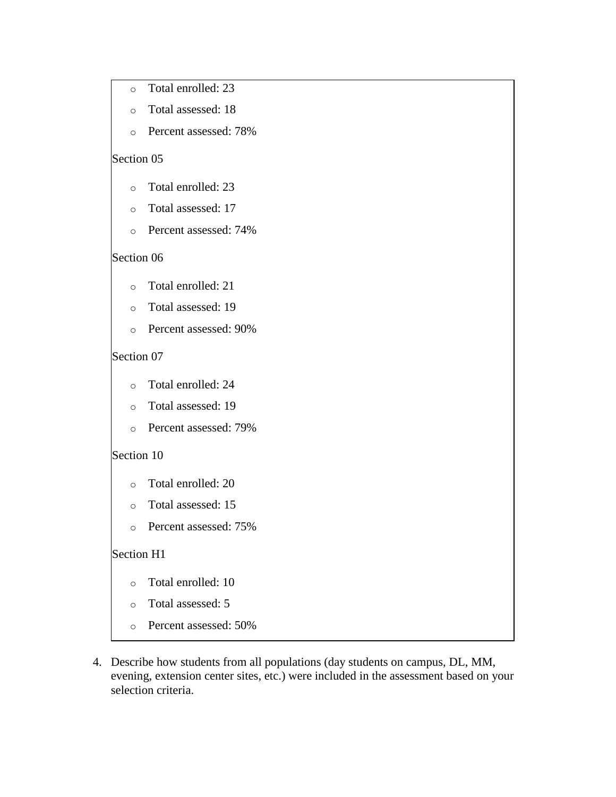- o Total enrolled: 23
- o Total assessed: 18
- o Percent assessed: 78%

### Section 05

- o Total enrolled: 23
- o Total assessed: 17
- o Percent assessed: 74%

### Section 06

- o Total enrolled: 21
- o Total assessed: 19
- o Percent assessed: 90%

### Section 07

- o Total enrolled: 24
- o Total assessed: 19
- o Percent assessed: 79%

### Section 10

- o Total enrolled: 20
- o Total assessed: 15
- o Percent assessed: 75%

### Section H1

- o Total enrolled: 10
- o Total assessed: 5
- o Percent assessed: 50%
- 4. Describe how students from all populations (day students on campus, DL, MM, evening, extension center sites, etc.) were included in the assessment based on your selection criteria.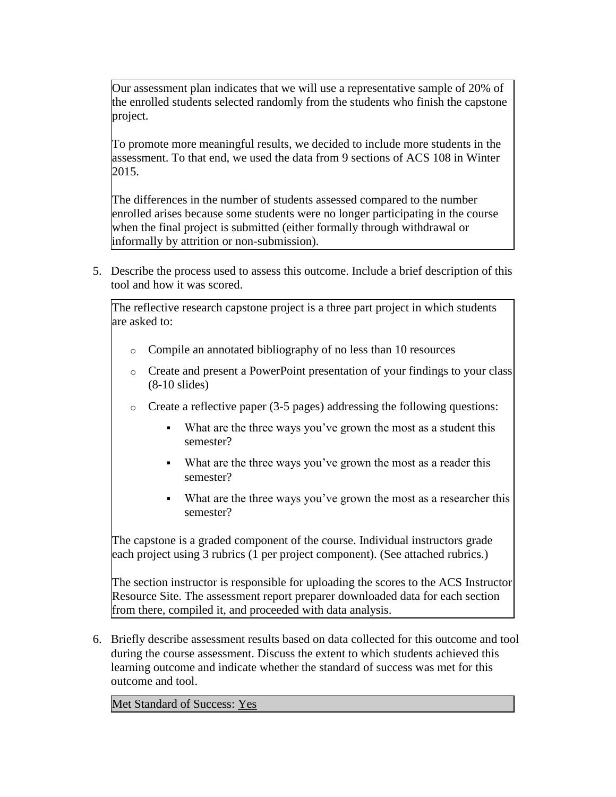Our assessment plan indicates that we will use a representative sample of 20% of the enrolled students selected randomly from the students who finish the capstone project.

To promote more meaningful results, we decided to include more students in the assessment. To that end, we used the data from 9 sections of ACS 108 in Winter 2015.

The differences in the number of students assessed compared to the number enrolled arises because some students were no longer participating in the course when the final project is submitted (either formally through withdrawal or informally by attrition or non-submission).

5. Describe the process used to assess this outcome. Include a brief description of this tool and how it was scored.

The reflective research capstone project is a three part project in which students are asked to:

- o Compile an annotated bibliography of no less than 10 resources
- o Create and present a PowerPoint presentation of your findings to your class (8-10 slides)
- o Create a reflective paper (3-5 pages) addressing the following questions:
	- What are the three ways you've grown the most as a student this semester?
	- What are the three ways you've grown the most as a reader this semester?
	- What are the three ways you've grown the most as a researcher this semester?

The capstone is a graded component of the course. Individual instructors grade each project using 3 rubrics (1 per project component). (See attached rubrics.)

The section instructor is responsible for uploading the scores to the ACS Instructor Resource Site. The assessment report preparer downloaded data for each section from there, compiled it, and proceeded with data analysis.

6. Briefly describe assessment results based on data collected for this outcome and tool during the course assessment. Discuss the extent to which students achieved this learning outcome and indicate whether the standard of success was met for this outcome and tool.

Met Standard of Success: Yes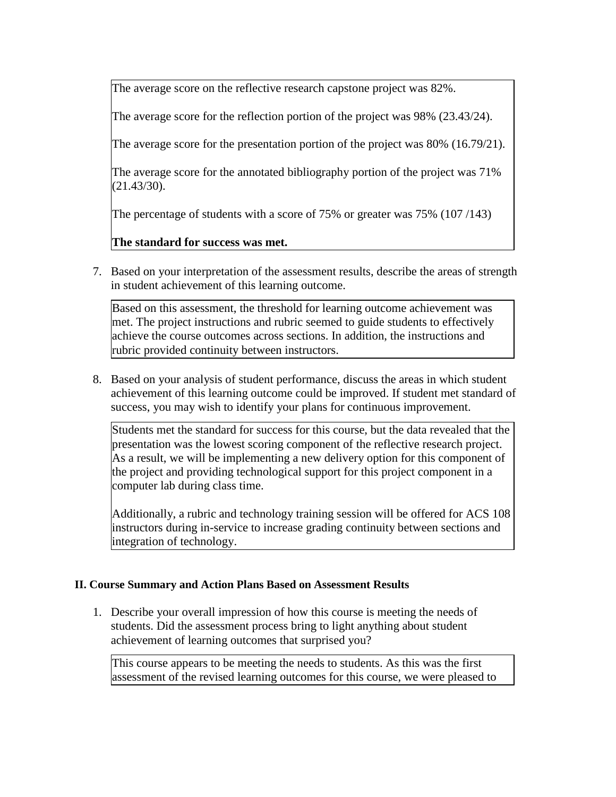The average score on the reflective research capstone project was 82%.

The average score for the reflection portion of the project was 98% (23.43/24).

The average score for the presentation portion of the project was 80% (16.79/21).

The average score for the annotated bibliography portion of the project was 71% (21.43/30).

The percentage of students with a score of 75% or greater was 75% (107/143)

**The standard for success was met.**

7. Based on your interpretation of the assessment results, describe the areas of strength in student achievement of this learning outcome.

Based on this assessment, the threshold for learning outcome achievement was met. The project instructions and rubric seemed to guide students to effectively achieve the course outcomes across sections. In addition, the instructions and rubric provided continuity between instructors.

8. Based on your analysis of student performance, discuss the areas in which student achievement of this learning outcome could be improved. If student met standard of success, you may wish to identify your plans for continuous improvement.

Students met the standard for success for this course, but the data revealed that the presentation was the lowest scoring component of the reflective research project. As a result, we will be implementing a new delivery option for this component of the project and providing technological support for this project component in a computer lab during class time.

Additionally, a rubric and technology training session will be offered for ACS 108 instructors during in-service to increase grading continuity between sections and integration of technology.

## **II. Course Summary and Action Plans Based on Assessment Results**

1. Describe your overall impression of how this course is meeting the needs of students. Did the assessment process bring to light anything about student achievement of learning outcomes that surprised you?

This course appears to be meeting the needs to students. As this was the first assessment of the revised learning outcomes for this course, we were pleased to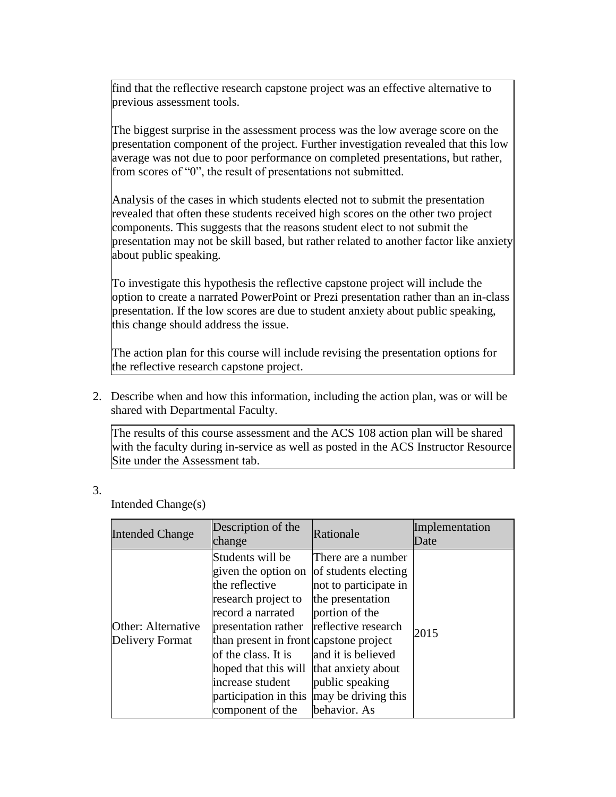find that the reflective research capstone project was an effective alternative to previous assessment tools.

The biggest surprise in the assessment process was the low average score on the presentation component of the project. Further investigation revealed that this low average was not due to poor performance on completed presentations, but rather, from scores of "0", the result of presentations not submitted.

Analysis of the cases in which students elected not to submit the presentation revealed that often these students received high scores on the other two project components. This suggests that the reasons student elect to not submit the presentation may not be skill based, but rather related to another factor like anxiety about public speaking.

To investigate this hypothesis the reflective capstone project will include the option to create a narrated PowerPoint or Prezi presentation rather than an in-class presentation. If the low scores are due to student anxiety about public speaking, this change should address the issue.

The action plan for this course will include revising the presentation options for the reflective research capstone project.

2. Describe when and how this information, including the action plan, was or will be shared with Departmental Faculty.

The results of this course assessment and the ACS 108 action plan will be shared with the faculty during in-service as well as posted in the ACS Instructor Resource Site under the Assessment tab.

3.

Intended Change(s)

| <b>Intended Change</b>                | Description of the<br>change                                                                                                                                                                                                                                                           | Rationale                                                                                                                                                                                                                              | Implementation<br>Date |
|---------------------------------------|----------------------------------------------------------------------------------------------------------------------------------------------------------------------------------------------------------------------------------------------------------------------------------------|----------------------------------------------------------------------------------------------------------------------------------------------------------------------------------------------------------------------------------------|------------------------|
| Other: Alternative<br>Delivery Format | Students will be<br>given the option on<br>the reflective<br>research project to<br>record a narrated<br>presentation rather<br>than present in front capstone project<br>of the class. It is<br>hoped that this will<br>increase student<br>participation in this<br>component of the | There are a number<br>of students electing<br>not to participate in<br>the presentation<br>portion of the<br>reflective research<br>and it is believed<br>that anxiety about<br>public speaking<br>may be driving this<br>behavior. As | 2015                   |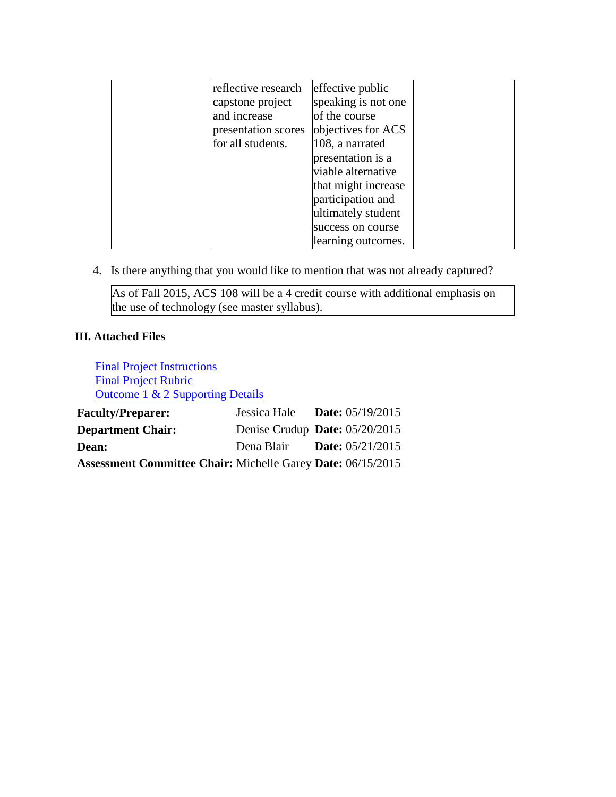| reflective research | effective public    |  |
|---------------------|---------------------|--|
| capstone project    | speaking is not one |  |
| and increase        | of the course       |  |
| presentation scores | objectives for ACS  |  |
| for all students.   | 108, a narrated     |  |
|                     | presentation is a   |  |
|                     | viable alternative  |  |
|                     | that might increase |  |
|                     | participation and   |  |
|                     | ultimately student  |  |
|                     | success on course   |  |
|                     | learning outcomes.  |  |

4. Is there anything that you would like to mention that was not already captured?

As of Fall 2015, ACS 108 will be a 4 credit course with additional emphasis on the use of technology (see master syllabus).

## **III. Attached Files**

[Final Project Instructions](documents/1_ACS108_FinalProjectInstructions.docx) [Final Project Rubric](documents/2_ACS108_FinalProjectRubric.docx) [Outcome 1 & 2 Supporting Details](documents/ACS108Winter201505192015.xlsx) **Faculty/Preparer:** Jessica Hale **Date:** 05/19/2015 **Department Chair:** Denise Crudup **Date:** 05/20/2015 **Dean:** Dena Blair **Date:** 05/21/2015 **Assessment Committee Chair:** Michelle Garey **Date:** 06/15/2015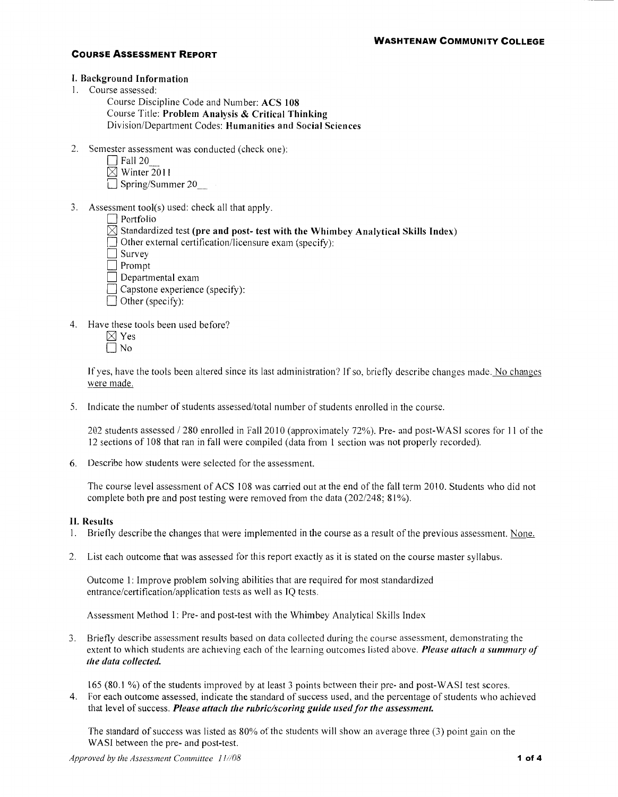#### I. Background Information

- I. Course assessed:
	- Course Discipline Code and Number: ACS 108 Course Title: Problem Analysis & Critical Thinking Division/Department Codes: Humanities and Social Sciences
- 2. Semester assessment was conducted (check one):
	- $\Box$  Fall 20
	- $\boxtimes$  Winter 2011
	- $\Box$  Spring/Summer 20
- 3. Assessment tool(s) used: check all that apply.
	- $\Box$  Portfolio
	- $\boxtimes$  Standardized test (pre and post- test with the Whimbey Analytical Skills Index)
	- $\Box$  Other external certification/licensure exam (specify):
	- $\Box$  Survey
	- Prompt
	- $\Box$  Departmental exam
	- $\Box$  Capstone experience (specify):
	- $\Box$  Other (specify):
- 4. Have these tools been used before?
	- $\boxtimes$  Yes
	- $\Box$  No

If yes, have the tools been altered since its last administration? If so, briefly describe changes made. No changes were made.

5. Indicate the number of students assessed/total number of students enrolled in the course.

202 students assessed / 280 enrolled in Fall 2010 (approximately 72%). Pre- and post-WASI scores for 11 of the 12 sections of 108 that ran in fall were compiled (data from I section was not properly recorded).

6. Describe how students were selected for the assessment.

The course level assessment of ACS 108 was carried out at the end of the fall term 2010. Students who did not complete both pre and post testing were removed from the data (202/248; 81%).

#### II. Results

- I. Briefly describe the changes that were implemented in the course as a result of the previous assessment. None.
- 2. List each outcome that was assessed for this report exactly as it is stated on the course master syllabus.

Outcome 1: Improve problem solving abilities that are required for most standardized entrance/certification/application tests as well as IQ tests.

Assessment Method 1: Pre- and post-test with the Whim bey Analytical Skills Index

3. Briefly describe assessment results based on data collected during the course assessment, demonstrating the extent to which students are achieving each of the learning outcomes listed above. *Please attach a summary of the data collected.* 

165 (80.1 %) of the students improved by at least 3 points between their pre- and post-WAS! test scores.

4. For each outcome assessed, indicate the standard of success used, and the percentage of students who achieved that level of success. Please attach the rubric/scoring guide used for the assessment.

The standard of success was listed as 80% of the students will show an average three (3) point gain on the WASI between the pre- and post-test.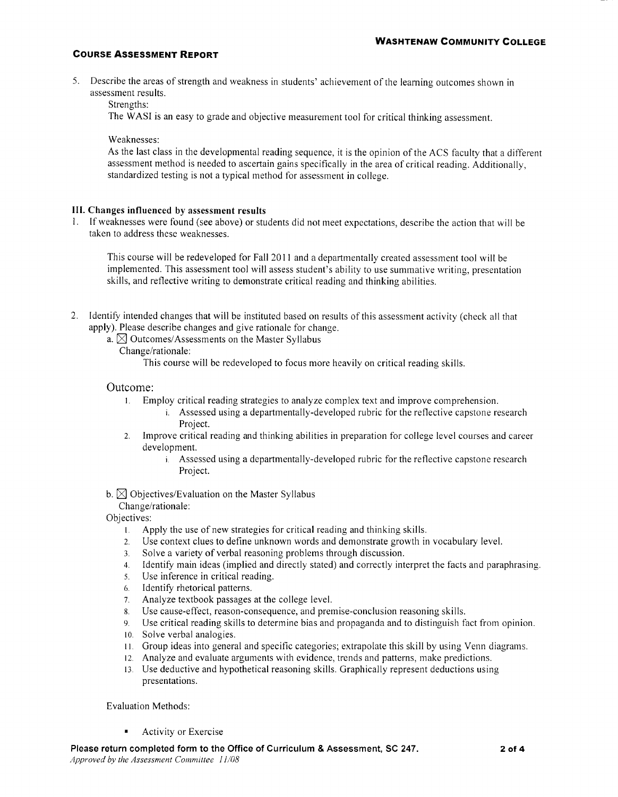5. Describe the areas of strength and weakness in students' achievement of the learning outcomes shown in assessment results.

Strengths:

The WASI is an easy to grade and objective measurement tool for critical thinking assessment.

Weaknesses:

As the last class in the developmental reading sequence, it is the opinion of the ACS faculty that a different assessment method is needed to ascertain gains specifically in the area of critical reading. Additionally, standardized testing is not a typical method for assessment in college.

#### **Ill. Changes influenced by assessment results**

I. If weaknesses were found (see above) or students did not meet expectations, describe the action that will be taken to address these weaknesses.

This course will be redeveloped for Fall 20 II and a departmentally created assessment tool will be implemented. This assessment tool will assess student's ability to use summative writing, presentation skills, and reflective writing to demonstrate critical reading and thinking abilities.

- 2. Identify intended changes that will be instituted based on results of this assessment activity (check all that apply). Please describe changes and give rationale for change.
	- a.  $\boxtimes$  Outcomes/Assessments on the Master Syllabus

Change/rationale:

This course will be redeveloped to focus more heavily on critical reading skills.

#### Outcome:

- I. Employ critical reading strategies to analyze complex text and improve comprehension. i. Assessed using a departmentally-developed rubric for the reflective capstone research Project.
- 2. Improve critical reading and thinking abilities in preparation for college level courses and career development.
	- 1. Assessed using a departmentally-developed rubric for the reflective capstone research Project.
- b.  $\boxtimes$  Objectives/Evaluation on the Master Syllabus

Change/rationale:

Objectives:

- 1 Apply the use of new strategies for critical reading and thinking skills.
- 2. Use context clues to define unknown words and demonstrate growth in vocabulary level.
- 3. Solve a variety of verbal reasoning problems through discussion.
- 4. Identify main ideas (implied and directly stated) and correctly interpret the facts and paraphrasing.
- 5. Use inference in critical reading.
- 6. Identify rhetorical patterns.
- 7. Analyze textbook passages at the college level.
- 8. Use cause-effect, reason-consequence, and premise-conclusion reasoning skills.
- 9. Use critical reading skills to determine bias and propaganda and to distinguish fact from opinion.
- 10. Solve verbal analogies.
- 11. Group ideas into general and specific categories; extrapolate this skill by using Venn diagrams.
- 12. Analyze and evaluate arguments with evidence, trends and patterns, make predictions.
- 13. Use deductive and hypothetical reasoning skills. Graphically represent deductions using presentations.

Evaluation Methods:

Activity or Exercise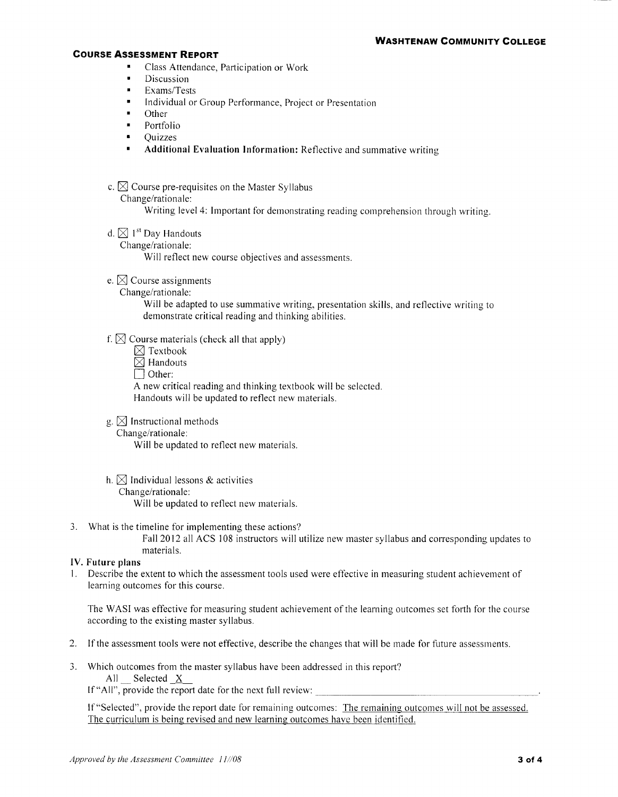- Class Attendance, Participation or Work
- $\blacksquare$ Discussion
- Exams/Tests
- Individual or Group Performance, Project or Presentation
- $\blacksquare$ Other
- Portfolio
- Quizzes
- **Additional Evaluation Information:** Reflective and summative writing
- c.  $\boxtimes$  Course pre-requisites on the Master Syllabus
	- Change/rationale:

Writing level 4: Important for demonstrating reading comprehension through writing.

- d.  $\boxtimes$  1<sup>st</sup> Day Handouts
	- Change/rationale:

Will reflect new course objectives and assessments.

- e.  $\boxtimes$  Course assignments
	- Change/rationale:

Will be adapted to use summative writing, presentation skills, and reflective writing to demonstrate critical reading and thinking abilities.

#### f.  $\boxtimes$  Course materials (check all that apply)

- $\boxtimes$  Textbook
- $\overline{\boxtimes}$  Handouts
- $\Box$  Other:

A new critical reading and thinking textbook will be selected.

Handouts will be updated to reflect new materials.

- g.  $\boxtimes$  Instructional methods
	- Change/rationale:

Will be updated to reflect new materials.

- h.  $\boxtimes$  Individual lessons & activities Change/rationale: Will be updated to reflect new materials.
- 3. What is the timeline for implementing these actions?

Fall2012 all ACS 108 instructors will utilize new master syllabus and corresponding updates to materials.

#### **IV. Future plans**

I. Describe the extent to which the assessment tools used were effective in measuring student achievement of learning outcomes for this course.

The WAS! was effective for measuring student achievement of the learning outcomes set forth for the course according to the existing master syllabus.

- 2. If the assessment tools were not effective, describe the changes that will be made for future assessments.
- 3. Which outcomes from the master syllabus have been addressed in this report? All Selected X

If "All", provide the report date for the next full review:

lf"Selected", provide the report date for remaining outcomes: The remaining outcomes will not be assessed. The curriculum is being revised and new learning outcomes have been identified.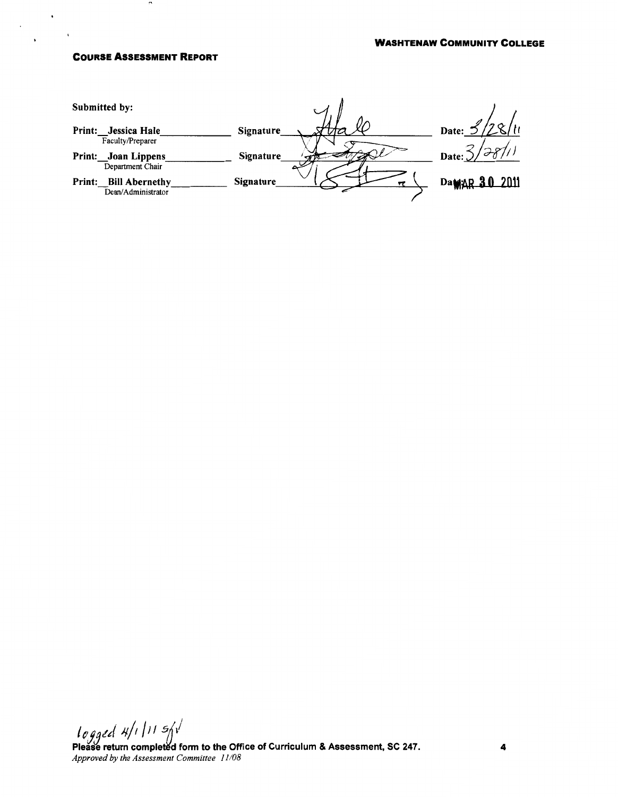$\mathbf{r}$ 

 $\cdot$ 

 $\ddot{\phantom{a}}$ 

| Submitted by:                                         |                  |                 |
|-------------------------------------------------------|------------------|-----------------|
| Jessica Hale<br>Print:                                | Signature        | רי<br>Date:     |
| Faculty/Preparer<br>Joan Lippens<br><b>Print:</b>     | Signature        | $\sim$<br>Date: |
| Department Chair                                      |                  |                 |
| <b>Bill Abernethy</b><br>Print:<br>Dean/Administrator | <b>Signature</b> | DaMAR 30 2011   |

logged  $4/111$  s/v Please return completed form to the Office of Curriculum & Assessment, SC 247. *Approved by the Assessment Committee 11/08*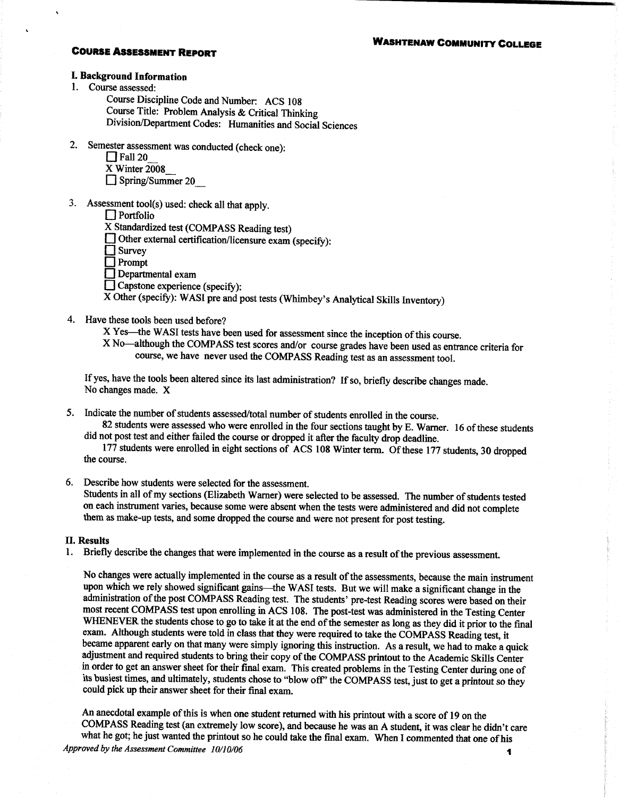### **WASHTENAW COMMUNITY COLLEGE**

### **COURSE ASSESSMENT REPORT**

### I. Background Information

- 1. Course assessed:
	- Course Discipline Code and Number: ACS 108 Course Title: Problem Analysis & Critical Thinking Division/Department Codes: Humanities and Social Sciences
- 2. Semester assessment was conducted (check one):
	- $\prod$  Fall 20
	- $X$  Winter 2008
	- $\Box$  Spring/Summer 20
- 3. Assessment tool(s) used: check all that apply.
	- $\Box$  Portfolio

X Standardized test (COMPASS Reading test)

 $\Box$  Other external certification/licensure exam (specify):

 $\Box$  Survey

 $\Box$  Prompt

 $\Box$  Departmental exam

Capstone experience (specify):

X Other (specify): WASI pre and post tests (Whimbey's Analytical Skills Inventory)

4. Have these tools been used before?

X Yes—the WASI tests have been used for assessment since the inception of this course.

X No-although the COMPASS test scores and/or course grades have been used as entrance criteria for course, we have never used the COMPASS Reading test as an assessment tool.

If yes, have the tools been altered since its last administration? If so, briefly describe changes made. No changes made. X

5. Indicate the number of students assessed/total number of students enrolled in the course.

82 students were assessed who were enrolled in the four sections taught by E. Warner. 16 of these students did not post test and either failed the course or dropped it after the faculty drop deadline.

177 students were enrolled in eight sections of ACS 108 Winter term. Of these 177 students, 30 dropped the course.

6. Describe how students were selected for the assessment.

Students in all of my sections (Elizabeth Warner) were selected to be assessed. The number of students tested on each instrument varies, because some were absent when the tests were administered and did not complete them as make-up tests, and some dropped the course and were not present for post testing.

#### **II. Results**

1. Briefly describe the changes that were implemented in the course as a result of the previous assessment.

No changes were actually implemented in the course as a result of the assessments, because the main instrument upon which we rely showed significant gains—the WASI tests. But we will make a significant change in the administration of the post COMPASS Reading test. The students' pre-test Reading scores were based on their most recent COMPASS test upon enrolling in ACS 108. The post-test was administered in the Testing Center WHENEVER the students chose to go to take it at the end of the semester as long as they did it prior to the final exam. Although students were told in class that they were required to take the COMPASS Reading test, it became apparent early on that many were simply ignoring this instruction. As a result, we had to make a quick adjustment and required students to bring their copy of the COMPASS printout to the Academic Skills Center in order to get an answer sheet for their final exam. This created problems in the Testing Center during one of its busiest times, and ultimately, students chose to "blow off" the COMPASS test, just to get a printout so they could pick up their answer sheet for their final exam.

An anecdotal example of this is when one student returned with his printout with a score of 19 on the COMPASS Reading test (an extremely low score), and because he was an A student, it was clear he didn't care what he got; he just wanted the printout so he could take the final exam. When I commented that one of his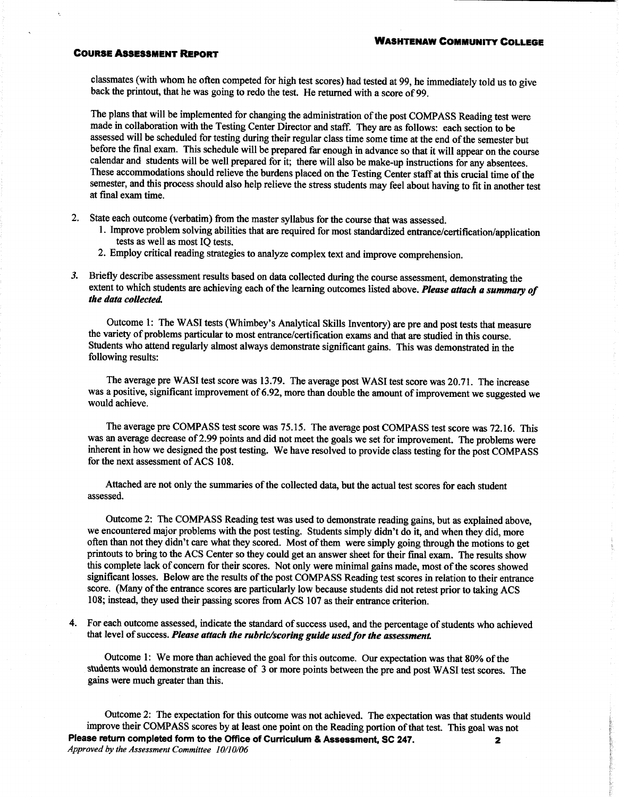classmates (with whom he often competed for high test scores) had tested at 99, he immediately told us to give back the printout, that he was going to redo the test. He returned with a score of 99.

The plans that will be implemented for changing the administration of the post COMPASS Reading test were made in collaboration with the Testing Center Director and staff. They are as follows: each section to be assessed will be scheduled for testing during their regular class time some time at the end of the semester but before the final exam. This schedule will be prepared far enough in advance so that it will appear on the course calendar and students will be well prepared for it; there will also be make-up instructions for any absentees. These accommodations should relieve the burdens placed on the Testing Center staff at this crucial time of the semester, and this process should also help relieve the stress students may feel about having to fit in another test at final exam time.

- 2. State each outcome (verbatim) from the master syllabus for the course that was assessed.
	- 1. Improve problem solving abilities that are required for most standardized entrance/certification/application tests as well as most IO tests.
	- 2. Employ critical reading strategies to analyze complex text and improve comprehension.
- Briefly describe assessment results based on data collected during the course assessment, demonstrating the  $3.$ extent to which students are achieving each of the learning outcomes listed above. Please attach a summary of the data collected.

Outcome 1: The WASI tests (Whimbey's Analytical Skills Inventory) are pre and post tests that measure the variety of problems particular to most entrance/certification exams and that are studied in this course. Students who attend regularly almost always demonstrate significant gains. This was demonstrated in the following results:

The average pre WASI test score was 13.79. The average post WASI test score was 20.71. The increase was a positive, significant improvement of 6.92, more than double the amount of improvement we suggested we would achieve.

The average pre COMPASS test score was 75.15. The average post COMPASS test score was 72.16. This was an average decrease of 2.99 points and did not meet the goals we set for improvement. The problems were inherent in how we designed the post testing. We have resolved to provide class testing for the post COMPASS for the next assessment of ACS 108.

Attached are not only the summaries of the collected data, but the actual test scores for each student assessed.

Outcome 2: The COMPASS Reading test was used to demonstrate reading gains, but as explained above, we encountered major problems with the post testing. Students simply didn't do it, and when they did, more often than not they didn't care what they scored. Most of them were simply going through the motions to get printouts to bring to the ACS Center so they could get an answer sheet for their final exam. The results show this complete lack of concern for their scores. Not only were minimal gains made, most of the scores showed significant losses. Below are the results of the post COMPASS Reading test scores in relation to their entrance score. (Many of the entrance scores are particularly low because students did not retest prior to taking ACS 108; instead, they used their passing scores from ACS 107 as their entrance criterion.

4. For each outcome assessed, indicate the standard of success used, and the percentage of students who achieved that level of success. Please attach the rubric/scoring guide used for the assessment.

Outcome 1: We more than achieved the goal for this outcome. Our expectation was that 80% of the students would demonstrate an increase of 3 or more points between the pre and post WASI test scores. The gains were much greater than this.

Outcome 2: The expectation for this outcome was not achieved. The expectation was that students would improve their COMPASS scores by at least one point on the Reading portion of that test. This goal was not Please return completed form to the Office of Curriculum & Assessment, SC 247.  $\mathbf{z}$ Approved by the Assessment Committee 10/10/06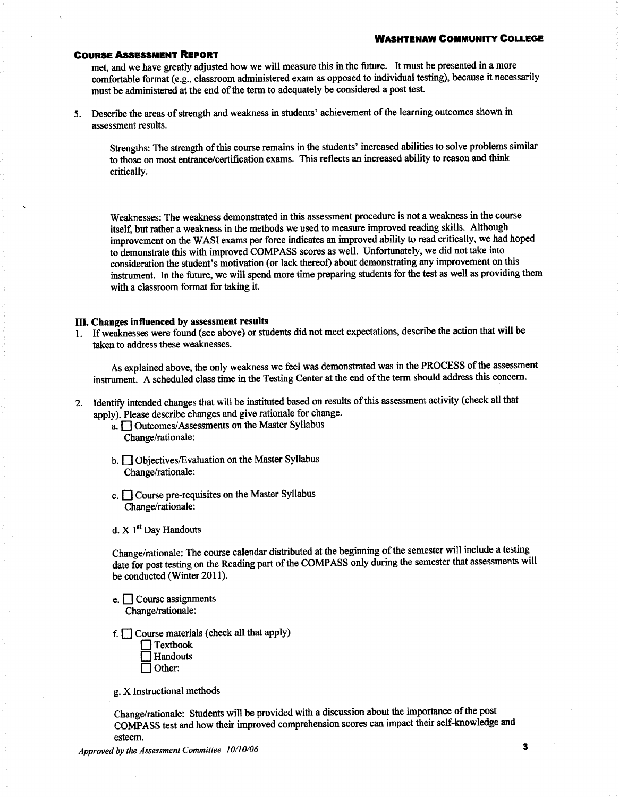met, and we have greatly adjusted how we will measure this in the future. It must be presented in a more comfortable format (e.g., classroom administered exam as opposed to individual testing), because it necessarily must be administered at the end of the term to adequately be considered a post test.

5. Describe the areas of strength and weakness in students' achievement of the learning outcomes shown in assessment results.

Strengths: The strength of this course remains in the students' increased abilities to solve problems similar to those on most entrance/certification exams. This reflects an increased ability to reason and think critically.

Weaknesses: The weakness demonstrated in this assessment procedure is not a weakness in the course itself, but rather a weakness in the methods we used to measure improved reading skills. Although improvement on the WASI exams per force indicates an improved ability to read critically, we had hoped to demonstrate this with improved COMPASS scores as well. Unfortunately, we did not take into consideration the student's motivation (or lack thereof) about demonstrating any improvement on this instrument. In the future, we will spend more time preparing students for the test as well as providing them with a classroom format for taking it.

#### III. Changes influenced by assessment results

1. If weaknesses were found (see above) or students did not meet expectations, describe the action that will be taken to address these weaknesses.

As explained above, the only weakness we feel was demonstrated was in the PROCESS of the assessment instrument. A scheduled class time in the Testing Center at the end of the term should address this concern.

2. Identify intended changes that will be instituted based on results of this assessment activity (check all that apply). Please describe changes and give rationale for change.

a. <u>Outcomes</u>/Assessments on the Master Syllabus Change/rationale:

- b. Objectives/Evaluation on the Master Syllabus Change/rationale:
- c.  $\Box$  Course pre-requisites on the Master Syllabus Change/rationale:
- d. X 1<sup>st</sup> Day Handouts

Change/rationale: The course calendar distributed at the beginning of the semester will include a testing date for post testing on the Reading part of the COMPASS only during the semester that assessments will be conducted (Winter 2011).

- e.  $\Box$  Course assignments Change/rationale:
- f.  $\Box$  Course materials (check all that apply)
	- $\prod$  Textbook  $\Box$  Handouts  $\Box$  Other:

g. X Instructional methods

Change/rationale: Students will be provided with a discussion about the importance of the post COMPASS test and how their improved comprehension scores can impact their self-knowledge and esteem.